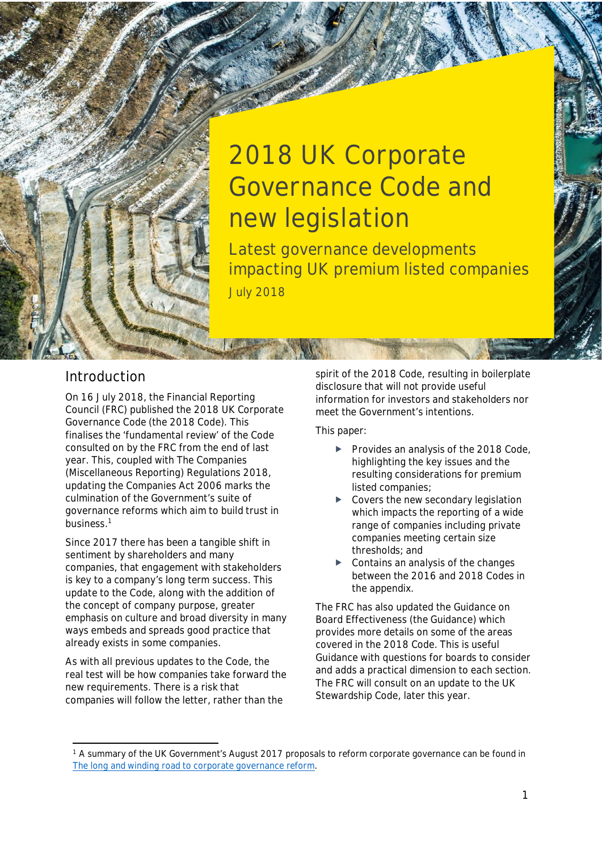

**Latest governance developments impacting UK premium listed companies** July 2018

## **Introduction**

July 2018

On 16 July 2018, the Financial Reporting Council (FRC) published the 2018 UK Corporate Governance Code (the 2018 Code). This finalises the 'fundamental review' of the Code consulted on by the FRC from the end of last year. This, coupled with The Companies (Miscellaneous Reporting) Regulations 2018, updating the Companies Act 2006 marks the culmination of the Government's suite of governance reforms which aim to build trust in business.[1](#page-0-0)

Since 2017 there has been a tangible shift in sentiment by shareholders and many companies, that engagement with stakeholders is key to a company's long term success. This update to the Code, along with the addition of the concept of company purpose, greater emphasis on culture and broad diversity in many ways embeds and spreads good practice that already exists in some companies.

As with all previous updates to the Code, the real test will be how companies take forward the new requirements. There is a risk that companies will follow the letter, rather than the

spirit of the 2018 Code, resulting in boilerplate disclosure that will not provide useful information for investors and stakeholders nor meet the Government's intentions.

This paper:

- Provides an analysis of the 2018 Code, highlighting the key issues and the resulting considerations for premium listed companies;
- Covers the new secondary legislation which impacts the reporting of a wide range of companies including private companies meeting certain size thresholds; and
- Contains an analysis of the changes between the 2016 and 2018 Codes in the appendix.

The FRC has also updated the Guidance on Board Effectiveness (the Guidance) which provides more details on some of the areas covered in the 2018 Code. This is useful Guidance with questions for boards to consider and adds a practical dimension to each section. The FRC will consult on an update to the UK Stewardship Code, later this year.

<span id="page-0-0"></span><sup>&</sup>lt;sup>1</sup> A summary of the UK Government's August 2017 proposals to reform corporate governance can be found in *The long and winding road to corporate governance reform.*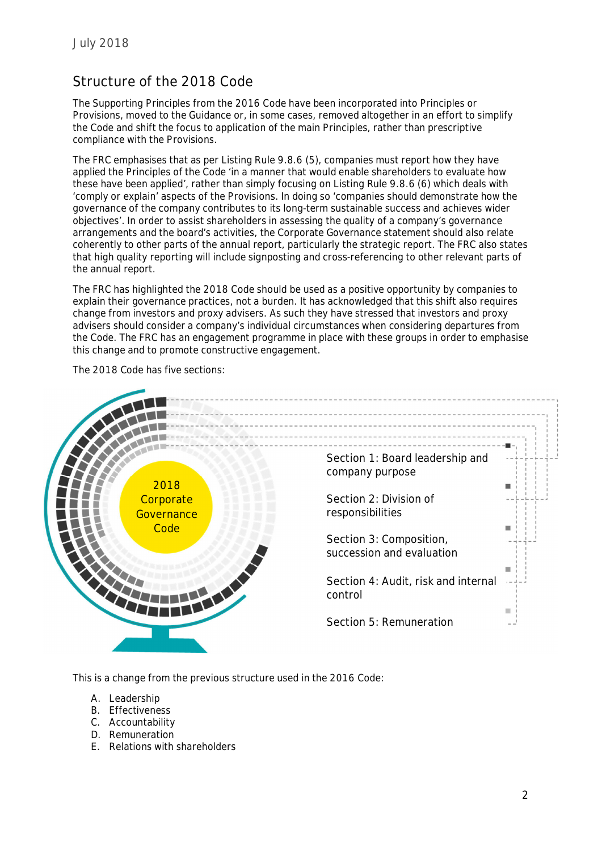# **Structure of the 2018 Code**

The Supporting Principles from the 2016 Code have been incorporated into Principles or Provisions, moved to the Guidance or, in some cases, removed altogether in an effort to simplify the Code and shift the focus to application of the main Principles, rather than prescriptive compliance with the Provisions.

The FRC emphasises that as per Listing Rule 9.8.6 (5), companies must report how they have applied the Principles of the Code 'in a manner that would enable shareholders to evaluate how these have been applied', rather than simply focusing on Listing Rule 9.8.6 (6) which deals with 'comply or explain' aspects of the Provisions. In doing so 'companies should demonstrate how the governance of the company contributes to its long-term sustainable success and achieves wider objectives'. In order to assist shareholders in assessing the quality of a company's governance arrangements and the board's activities, the Corporate Governance statement should also relate coherently to other parts of the annual report, particularly the strategic report. The FRC also states that high quality reporting will include signposting and cross-referencing to other relevant parts of the annual report.

The FRC has highlighted the 2018 Code should be used as a positive opportunity by companies to explain their governance practices, not a burden. It has acknowledged that this shift also requires change from investors and proxy advisers. As such they have stressed that investors and proxy advisers should consider a company's individual circumstances when considering departures from the Code. The FRC has an engagement programme in place with these groups in order to emphasise this change and to promote constructive engagement.

The 2018 Code has five sections:



This is a change from the previous structure used in the 2016 Code:

- A. Leadership
- B. Effectiveness
- C. Accountability
- D. Remuneration
- E. Relations with shareholders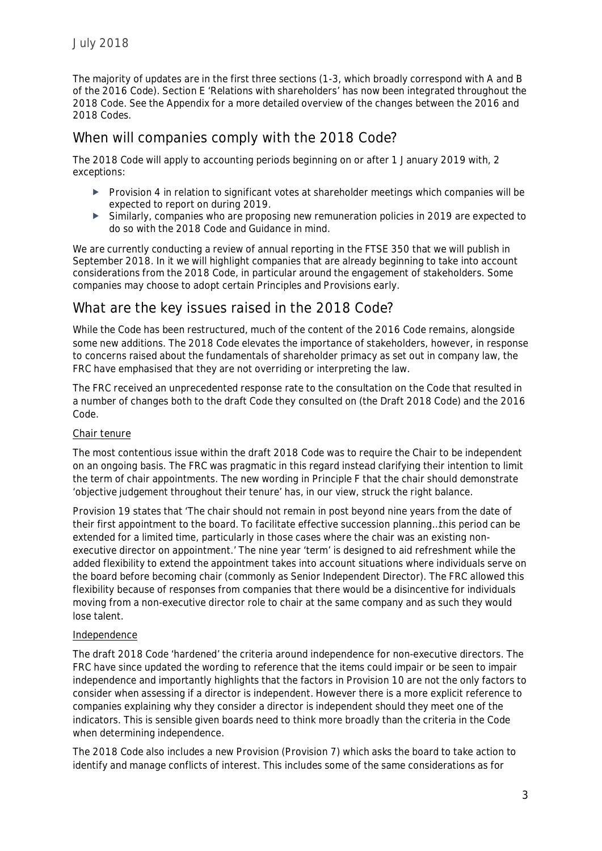The majority of updates are in the first three sections (1-3, which broadly correspond with A and B of the 2016 Code). Section E 'Relations with shareholders' has now been integrated throughout the 2018 Code. See the Appendix for a more detailed overview of the changes between the 2016 and 2018 Codes.

## **When will companies comply with the 2018 Code?**

The 2018 Code will apply to accounting periods beginning on or after 1 January 2019 with, 2 exceptions:

- Provision 4 in relation to significant votes at shareholder meetings which companies will be expected to report on during 2019.
- Similarly, companies who are proposing new remuneration policies in 2019 are expected to do so with the 2018 Code and Guidance in mind.

We are currently conducting a review of annual reporting in the FTSE 350 that we will publish in September 2018. In it we will highlight companies that are already beginning to take into account considerations from the 2018 Code, in particular around the engagement of stakeholders. Some companies may choose to adopt certain Principles and Provisions early.

## **What are the key issues raised in the 2018 Code?**

While the Code has been restructured, much of the content of the 2016 Code remains, alongside some new additions. The 2018 Code elevates the importance of stakeholders, however, in response to concerns raised about the fundamentals of shareholder primacy as set out in company law, the FRC have emphasised that they are not overriding or interpreting the law.

The FRC received an unprecedented response rate to the consultation on the Code that resulted in a number of changes both to the draft Code they consulted on (the Draft 2018 Code) and the 2016 Code.

## *Chair tenure*

The most contentious issue within the draft 2018 Code was to require the Chair to be independent on an ongoing basis. The FRC was pragmatic in this regard instead clarifying their intention to limit the term of chair appointments. The new wording in Principle F that the chair should demonstrate 'objective judgement throughout their tenure' has, in our view, struck the right balance.

Provision 19 states that 'The chair should not remain in post beyond nine years from the date of their first appointment to the board. To facilitate effective succession planning…this period can be extended for a limited time, particularly in those cases where the chair was an existing nonexecutive director on appointment.' The nine year 'term' is designed to aid refreshment while the added flexibility to extend the appointment takes into account situations where individuals serve on the board before becoming chair (commonly as Senior Independent Director). The FRC allowed this flexibility because of responses from companies that there would be a disincentive for individuals moving from a non-executive director role to chair at the same company and as such they would lose talent.

### *Independence*

The draft 2018 Code 'hardened' the criteria around independence for non-executive directors. The FRC have since updated the wording to reference that the items could impair or be seen to impair independence and importantly highlights that the factors in Provision 10 are not the only factors to consider when assessing if a director is independent. However there is a more explicit reference to companies explaining why they consider a director is independent should they meet one of the indicators. This is sensible given boards need to think more broadly than the criteria in the Code when determining independence.

The 2018 Code also includes a new Provision (Provision 7) which asks the board to take action to identify and manage conflicts of interest. This includes some of the same considerations as for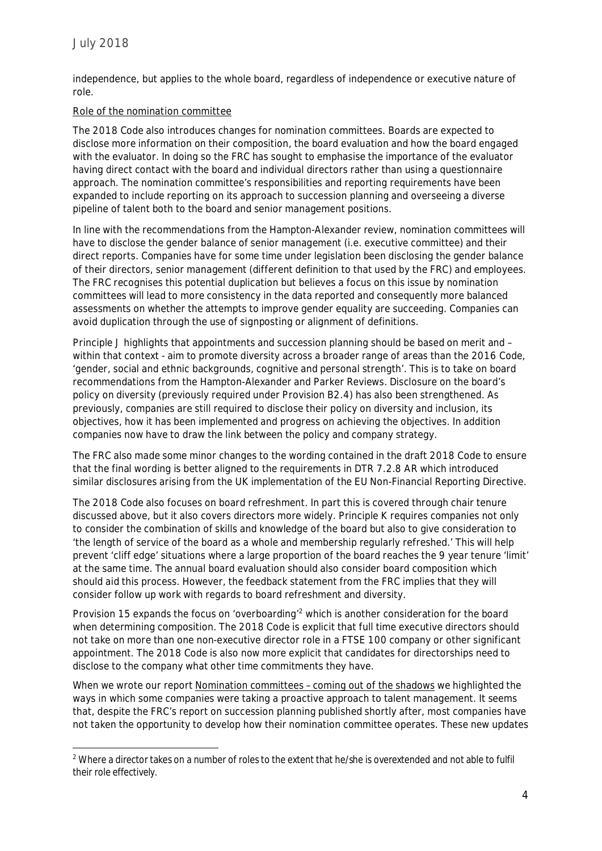independence, but applies to the whole board, regardless of independence or executive nature of role.

## *Role of the nomination committee*

The 2018 Code also introduces changes for nomination committees. Boards are expected to disclose more information on their composition, the board evaluation and how the board engaged with the evaluator. In doing so the FRC has sought to emphasise the importance of the evaluator having direct contact with the board and individual directors rather than using a questionnaire approach. The nomination committee's responsibilities and reporting requirements have been expanded to include reporting on its approach to succession planning and overseeing a diverse pipeline of talent both to the board and senior management positions.

In line with the recommendations from the Hampton-Alexander review, nomination committees will have to disclose the gender balance of senior management (i.e. executive committee) and their direct reports. Companies have for some time under legislation been disclosing the gender balance of their directors, senior management (different definition to that used by the FRC) and employees. The FRC recognises this potential duplication but believes a focus on this issue by nomination committees will lead to more consistency in the data reported and consequently more balanced assessments on whether the attempts to improve gender equality are succeeding. Companies can avoid duplication through the use of signposting or alignment of definitions.

Principle J highlights that appointments and succession planning should be based on merit and – within that context - aim to promote diversity across a broader range of areas than the 2016 Code, 'gender, social and ethnic backgrounds, cognitive and personal strength'. This is to take on board recommendations from the Hampton-Alexander and Parker Reviews. Disclosure on the board's policy on diversity (previously required under Provision B2.4) has also been strengthened. As previously, companies are still required to disclose their policy on diversity and inclusion, its objectives, how it has been implemented and progress on achieving the objectives. In addition companies now have to draw the link between the policy and company strategy.

The FRC also made some minor changes to the wording contained in the draft 2018 Code to ensure that the final wording is better aligned to the requirements in DTR 7.2.8 AR which introduced similar disclosures arising from the UK implementation of the EU Non-Financial Reporting Directive.

The 2018 Code also focuses on board refreshment. In part this is covered through chair tenure discussed above, but it also covers directors more widely. Principle K requires companies not only to consider the combination of skills and knowledge of the board but also to give consideration to 'the length of service of the board as a whole and membership regularly refreshed.' This will help prevent 'cliff edge' situations where a large proportion of the board reaches the 9 year tenure 'limit' at the same time. The annual board evaluation should also consider board composition which should aid this process. However, the feedback statement from the FRC implies that they will consider follow up work with regards to board refreshment and diversity.

Provision 15 expands the focus on 'overboarding'<sup>[2](#page-3-0)</sup> which is another consideration for the board when determining composition. The 2018 Code is explicit that full time executive directors should not take on more than one non-executive director role in a FTSE 100 company or other significant appointment. The 2018 Code is also now more explicit that candidates for directorships need to disclose to the company what other time commitments they have.

When we wrote our report *[Nomination committees – coming out of the shadows](https://www.ey.com/Publication/vwLUAssets/EY-ICSA-the-nomination-committee-coming-out-of-the-shadows/$FILE/EY-ICSA-the-nomination-committee-coming-out-of-the-shadows.pdf)* we highlighted the ways in which some companies were taking a proactive approach to talent management. It seems that, despite the FRC's report on succession planning published shortly after, most companies have not taken the opportunity to develop how their nomination committee operates. These new updates

<span id="page-3-0"></span><sup>&</sup>lt;sup>2</sup> Where a director takes on a number of roles to the extent that he/she is overextended and not able to fulfil their role effectively.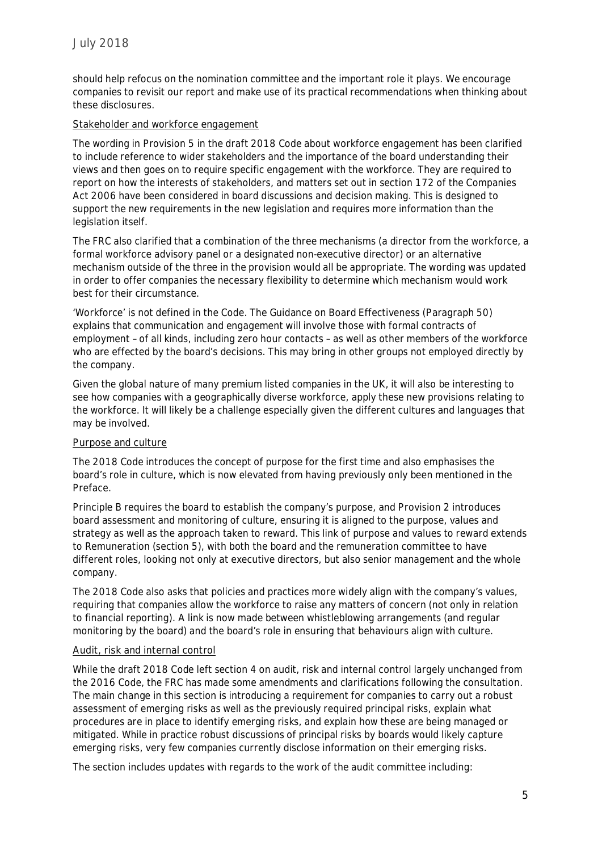should help refocus on the nomination committee and the important role it plays. We encourage companies to revisit our report and make use of its practical recommendations when thinking about these disclosures.

## *Stakeholder and workforce engagement*

The wording in Provision 5 in the draft 2018 Code about workforce engagement has been clarified to include reference to wider stakeholders and the importance of the board understanding their views and then goes on to require specific engagement with the workforce. They are required to report on how the interests of stakeholders, and matters set out in section 172 of the Companies Act 2006 have been considered in board discussions and decision making. This is designed to support the new requirements in the new legislation and requires more information than the legislation itself.

The FRC also clarified that a combination of the three mechanisms (a director from the workforce, a formal workforce advisory panel or a designated non-executive director) or an alternative mechanism outside of the three in the provision would all be appropriate. The wording was updated in order to offer companies the necessary flexibility to determine which mechanism would work best for their circumstance.

'Workforce' is not defined in the Code. The Guidance on Board Effectiveness (Paragraph 50) explains that communication and engagement will involve those with formal contracts of employment – of all kinds, including zero hour contacts – as well as other members of the workforce who are effected by the board's decisions. This may bring in other groups not employed directly by the company.

Given the global nature of many premium listed companies in the UK, it will also be interesting to see how companies with a geographically diverse workforce, apply these new provisions relating to the workforce. It will likely be a challenge especially given the different cultures and languages that may be involved.

### *Purpose and culture*

The 2018 Code introduces the concept of purpose for the first time and also emphasises the board's role in culture, which is now elevated from having previously only been mentioned in the Preface.

Principle B requires the board to establish the company's purpose, and Provision 2 introduces board assessment and monitoring of culture, ensuring it is aligned to the purpose, values and strategy as well as the approach taken to reward. This link of purpose and values to reward extends to Remuneration (section 5), with both the board and the remuneration committee to have different roles, looking not only at executive directors, but also senior management and the whole company.

The 2018 Code also asks that policies and practices more widely align with the company's values, requiring that companies allow the workforce to raise any matters of concern (not only in relation to financial reporting). A link is now made between whistleblowing arrangements (and regular monitoring by the board) and the board's role in ensuring that behaviours align with culture.

## *Audit, risk and internal control*

While the draft 2018 Code left section 4 on audit, risk and internal control largely unchanged from the 2016 Code, the FRC has made some amendments and clarifications following the consultation. The main change in this section is introducing a requirement for companies to carry out a robust assessment of emerging risks as well as the previously required principal risks, explain what procedures are in place to identify emerging risks, and explain how these are being managed or mitigated. While in practice robust discussions of principal risks by boards would likely capture emerging risks, very few companies currently disclose information on their emerging risks.

The section includes updates with regards to the work of the audit committee including: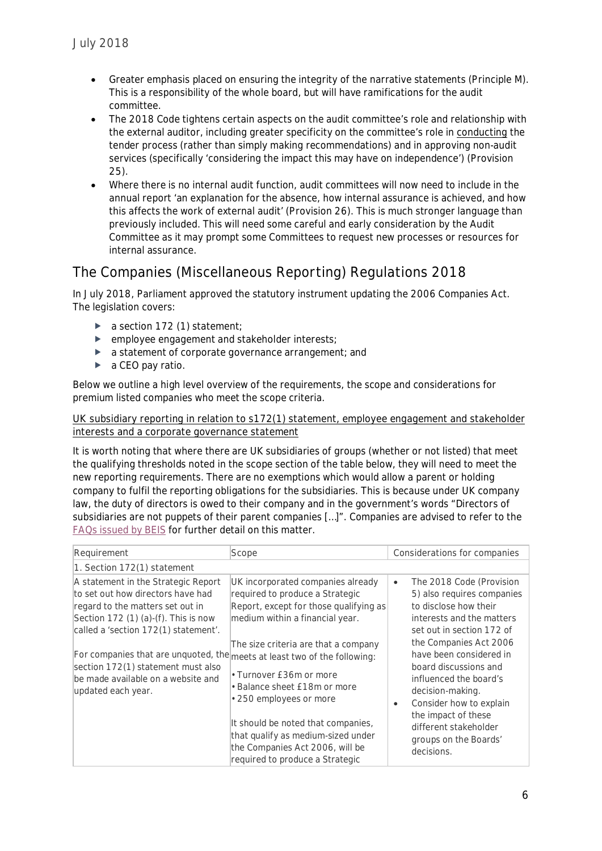- Greater emphasis placed on ensuring the integrity of the narrative statements (Principle M). This is a responsibility of the whole board, but will have ramifications for the audit committee.
- The 2018 Code tightens certain aspects on the audit committee's role and relationship with the external auditor, including greater specificity on the committee's role in conducting the tender process (rather than simply making recommendations) and in approving non-audit services (specifically 'considering the impact this may have on independence') (Provision 25).
- Where there is no internal audit function, audit committees will now need to include in the annual report 'an explanation for the absence, how internal assurance is achieved, and how this affects the work of external audit' (Provision 26). This is much stronger language than previously included. This will need some careful and early consideration by the Audit Committee as it may prompt some Committees to request new processes or resources for internal assurance.

# **The Companies (Miscellaneous Reporting) Regulations 2018**

In July 2018, Parliament approved the statutory instrument updating the 2006 Companies Act. The legislation covers:

- a section 172 (1) statement;
- **P** employee engagement and stakeholder interests;
- a statement of corporate governance arrangement; and
- ► a CEO pay ratio.

Below we outline a high level overview of the requirements, the scope and considerations for premium listed companies who meet the scope criteria.

### *UK subsidiary reporting in relation to s172(1) statement, employee engagement and stakeholder interests and a corporate governance statement*

It is worth noting that where there are UK subsidiaries of groups (whether or not listed) that meet the qualifying thresholds noted in the scope section of the table below, they will need to meet the new reporting requirements. There are no exemptions which would allow a parent or holding company to fulfil the reporting obligations for the subsidiaries. This is because under UK company law, the duty of directors is owed to their company and in the government's words "Directors of subsidiaries are not puppets of their parent companies […]". Companies are advised to refer to the [FAQs issued by BEIS](https://assets.publishing.service.gov.uk/government/uploads/system/uploads/attachment_data/file/715740/corporate-governance-company-reporting-faq.pdf) for further detail on this matter.

| Requirement                                                                                                                                                                                                                                                                                                                                                                 | Scope                                                                                                                                                                                                                                                                                                                                                                                                                             | Considerations for companies                                                                                                                                                                                                                                                                                                                                                                                      |
|-----------------------------------------------------------------------------------------------------------------------------------------------------------------------------------------------------------------------------------------------------------------------------------------------------------------------------------------------------------------------------|-----------------------------------------------------------------------------------------------------------------------------------------------------------------------------------------------------------------------------------------------------------------------------------------------------------------------------------------------------------------------------------------------------------------------------------|-------------------------------------------------------------------------------------------------------------------------------------------------------------------------------------------------------------------------------------------------------------------------------------------------------------------------------------------------------------------------------------------------------------------|
| 1. Section 172(1) statement                                                                                                                                                                                                                                                                                                                                                 |                                                                                                                                                                                                                                                                                                                                                                                                                                   |                                                                                                                                                                                                                                                                                                                                                                                                                   |
| A statement in the Strategic Report<br>to set out how directors have had<br>regard to the matters set out in<br>Section 172 (1) (a)-(f). This is now<br>called a 'section 172(1) statement'.<br>For companies that are unquoted, the meets at least two of the following:<br>section 172(1) statement must also<br>be made available on a website and<br>updated each year. | UK incorporated companies already<br>required to produce a Strategic<br>Report, except for those qualifying as<br>medium within a financial year.<br>The size criteria are that a company<br>• Turnover £36m or more<br>• Balance sheet £18m or more<br>• 250 employees or more<br>It should be noted that companies,<br>that qualify as medium-sized under<br>the Companies Act 2006, will be<br>required to produce a Strategic | The 2018 Code (Provision<br>$\bullet$<br>5) also requires companies<br>to disclose how their<br>interests and the matters<br>set out in section 172 of<br>the Companies Act 2006<br>have been considered in<br>board discussions and<br>influenced the board's<br>decision-making.<br>Consider how to explain<br>$\bullet$<br>the impact of these<br>different stakeholder<br>groups on the Boards'<br>decisions. |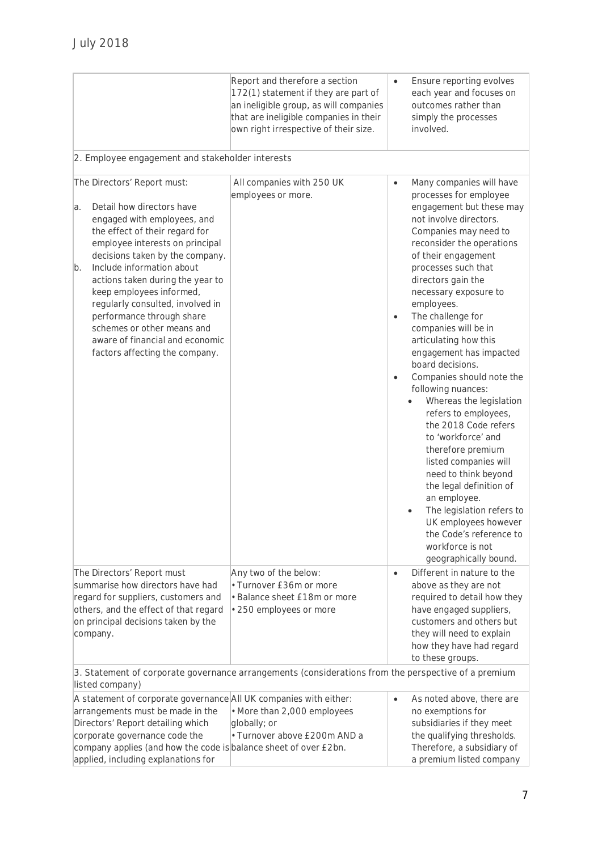|                                                                                                                                                                                                                                                                                                                                                                                                                                                                              | Report and therefore a section<br>172(1) statement if they are part of<br>an ineligible group, as will companies<br>that are ineligible companies in their<br>own right irrespective of their size. |                                     | Ensure reporting evolves<br>each year and focuses on<br>outcomes rather than<br>simply the processes<br>involved.                                                                                                                                                                                                                                                                                                                                                                                                                                                                                                                                                                                                                                                                                |
|------------------------------------------------------------------------------------------------------------------------------------------------------------------------------------------------------------------------------------------------------------------------------------------------------------------------------------------------------------------------------------------------------------------------------------------------------------------------------|-----------------------------------------------------------------------------------------------------------------------------------------------------------------------------------------------------|-------------------------------------|--------------------------------------------------------------------------------------------------------------------------------------------------------------------------------------------------------------------------------------------------------------------------------------------------------------------------------------------------------------------------------------------------------------------------------------------------------------------------------------------------------------------------------------------------------------------------------------------------------------------------------------------------------------------------------------------------------------------------------------------------------------------------------------------------|
| 2. Employee engagement and stakeholder interests                                                                                                                                                                                                                                                                                                                                                                                                                             |                                                                                                                                                                                                     |                                     |                                                                                                                                                                                                                                                                                                                                                                                                                                                                                                                                                                                                                                                                                                                                                                                                  |
| The Directors' Report must:<br>Detail how directors have<br>a.<br>engaged with employees, and<br>the effect of their regard for<br>employee interests on principal<br>decisions taken by the company.<br>Include information about<br>b.<br>actions taken during the year to<br>keep employees informed,<br>regularly consulted, involved in<br>performance through share<br>schemes or other means and<br>aware of financial and economic<br>factors affecting the company. | All companies with 250 UK<br>employees or more.                                                                                                                                                     | $\bullet$<br>$\bullet$<br>$\bullet$ | Many companies will have<br>processes for employee<br>engagement but these may<br>not involve directors.<br>Companies may need to<br>reconsider the operations<br>of their engagement<br>processes such that<br>directors gain the<br>necessary exposure to<br>employees.<br>The challenge for<br>companies will be in<br>articulating how this<br>engagement has impacted<br>board decisions.<br>Companies should note the<br>following nuances:<br>Whereas the legislation<br>refers to employees,<br>the 2018 Code refers<br>to 'workforce' and<br>therefore premium<br>listed companies will<br>need to think beyond<br>the legal definition of<br>an employee.<br>The legislation refers to<br>UK employees however<br>the Code's reference to<br>workforce is not<br>geographically bound. |
| The Directors' Report must<br>summarise how directors have had<br>regard for suppliers, customers and<br>others, and the effect of that regard<br>on principal decisions taken by the<br>company.                                                                                                                                                                                                                                                                            | Any two of the below:<br>• Turnover £36m or more<br>• Balance sheet £18m or more<br>• 250 employees or more                                                                                         | $\bullet$                           | Different in nature to the<br>above as they are not<br>required to detail how they<br>have engaged suppliers,<br>customers and others but<br>they will need to explain<br>how they have had regard<br>to these groups.                                                                                                                                                                                                                                                                                                                                                                                                                                                                                                                                                                           |
| listed company)                                                                                                                                                                                                                                                                                                                                                                                                                                                              | 3. Statement of corporate governance arrangements (considerations from the perspective of a premium                                                                                                 |                                     |                                                                                                                                                                                                                                                                                                                                                                                                                                                                                                                                                                                                                                                                                                                                                                                                  |
| A statement of corporate governance All UK companies with either:<br>arrangements must be made in the<br>Directors' Report detailing which<br>corporate governance code the<br>company applies (and how the code is balance sheet of over £2bn.<br>applied, including explanations for                                                                                                                                                                                       | • More than 2,000 employees<br>globally; or<br>· Turnover above £200m AND a                                                                                                                         | $\bullet$                           | As noted above, there are<br>no exemptions for<br>subsidiaries if they meet<br>the qualifying thresholds.<br>Therefore, a subsidiary of<br>a premium listed company                                                                                                                                                                                                                                                                                                                                                                                                                                                                                                                                                                                                                              |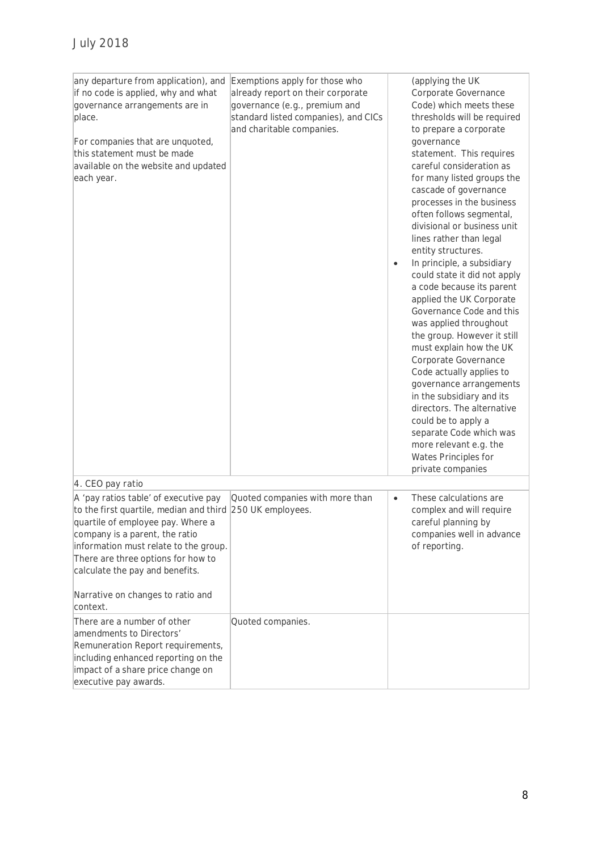| any departure from application), and<br>if no code is applied, why and what<br>governance arrangements are in<br>place.<br>For companies that are unquoted,<br>this statement must be made<br>available on the website and updated<br>each year.                                                                                 | Exemptions apply for those who<br>already report on their corporate<br>governance (e.g., premium and<br>standard listed companies), and CICs<br>and charitable companies. | (applying the UK<br>Corporate Governance<br>Code) which meets these<br>thresholds will be required<br>to prepare a corporate<br>governance<br>statement. This requires<br>careful consideration as<br>for many listed groups the<br>cascade of governance<br>processes in the business<br>often follows segmental,<br>divisional or business unit<br>lines rather than legal<br>entity structures.<br>In principle, a subsidiary<br>$\bullet$<br>could state it did not apply<br>a code because its parent<br>applied the UK Corporate<br>Governance Code and this<br>was applied throughout<br>the group. However it still<br>must explain how the UK<br>Corporate Governance<br>Code actually applies to<br>governance arrangements<br>in the subsidiary and its<br>directors. The alternative<br>could be to apply a<br>separate Code which was<br>more relevant e.g. the<br>Wates Principles for<br>private companies |
|----------------------------------------------------------------------------------------------------------------------------------------------------------------------------------------------------------------------------------------------------------------------------------------------------------------------------------|---------------------------------------------------------------------------------------------------------------------------------------------------------------------------|---------------------------------------------------------------------------------------------------------------------------------------------------------------------------------------------------------------------------------------------------------------------------------------------------------------------------------------------------------------------------------------------------------------------------------------------------------------------------------------------------------------------------------------------------------------------------------------------------------------------------------------------------------------------------------------------------------------------------------------------------------------------------------------------------------------------------------------------------------------------------------------------------------------------------|
| 4. CEO pay ratio                                                                                                                                                                                                                                                                                                                 |                                                                                                                                                                           |                                                                                                                                                                                                                                                                                                                                                                                                                                                                                                                                                                                                                                                                                                                                                                                                                                                                                                                           |
| A 'pay ratios table' of executive pay<br>to the first quartile, median and third 250 UK employees.<br>quartile of employee pay. Where a<br>company is a parent, the ratio<br>information must relate to the group.<br>There are three options for how to<br>calculate the pay and benefits.<br>Narrative on changes to ratio and | Quoted companies with more than                                                                                                                                           | These calculations are<br>$\bullet$<br>complex and will require<br>careful planning by<br>companies well in advance<br>of reporting.                                                                                                                                                                                                                                                                                                                                                                                                                                                                                                                                                                                                                                                                                                                                                                                      |
| context.                                                                                                                                                                                                                                                                                                                         |                                                                                                                                                                           |                                                                                                                                                                                                                                                                                                                                                                                                                                                                                                                                                                                                                                                                                                                                                                                                                                                                                                                           |
| There are a number of other<br>amendments to Directors'<br>Remuneration Report requirements,<br>including enhanced reporting on the<br>impact of a share price change on<br>executive pay awards.                                                                                                                                | Quoted companies.                                                                                                                                                         |                                                                                                                                                                                                                                                                                                                                                                                                                                                                                                                                                                                                                                                                                                                                                                                                                                                                                                                           |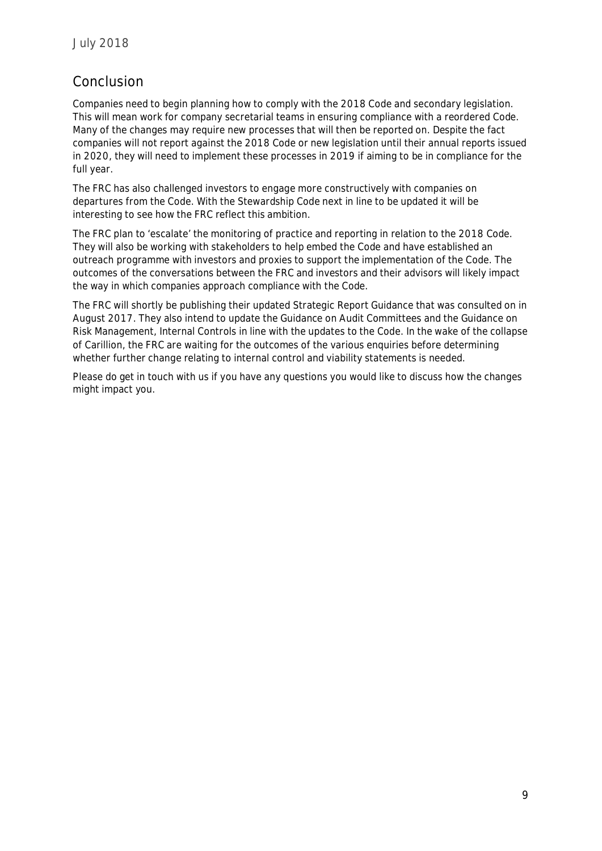## **Conclusion**

Companies need to begin planning how to comply with the 2018 Code and secondary legislation. This will mean work for company secretarial teams in ensuring compliance with a reordered Code. Many of the changes may require new processes that will then be reported on. Despite the fact companies will not report against the 2018 Code or new legislation until their annual reports issued in 2020, they will need to implement these processes in 2019 if aiming to be in compliance for the full year.

The FRC has also challenged investors to engage more constructively with companies on departures from the Code. With the Stewardship Code next in line to be updated it will be interesting to see how the FRC reflect this ambition.

The FRC plan to 'escalate' the monitoring of practice and reporting in relation to the 2018 Code. They will also be working with stakeholders to help embed the Code and have established an outreach programme with investors and proxies to support the implementation of the Code. The outcomes of the conversations between the FRC and investors and their advisors will likely impact the way in which companies approach compliance with the Code.

The FRC will shortly be publishing their updated Strategic Report Guidance that was consulted on in August 2017. They also intend to update the Guidance on Audit Committees and the Guidance on Risk Management, Internal Controls in line with the updates to the Code. In the wake of the collapse of Carillion, the FRC are waiting for the outcomes of the various enquiries before determining whether further change relating to internal control and viability statements is needed.

Please do get in touch with us if you have any questions you would like to discuss how the changes might impact you.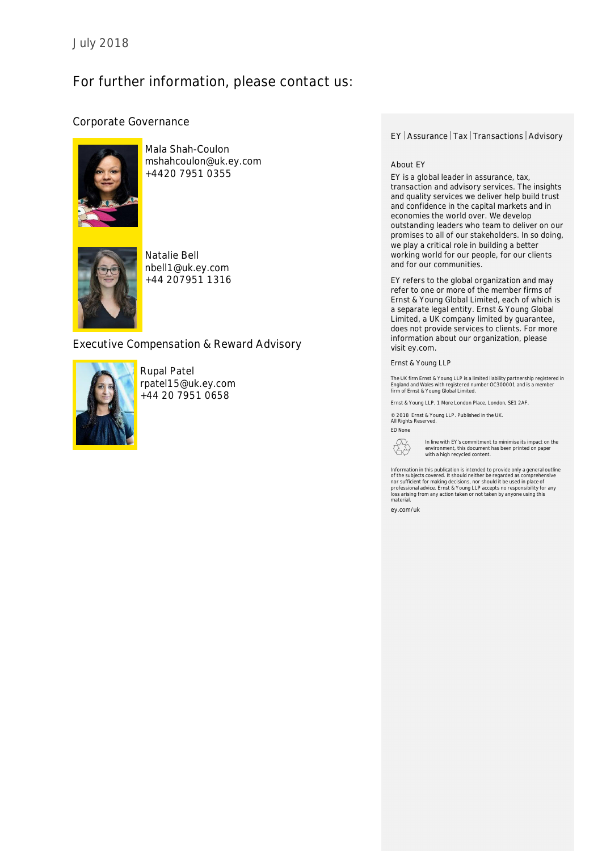# **For further information, please contact us:**

### **Corporate Governance**



**Mala Shah-Coulon** mshahcoulon@uk.ey.com +4420 7951 0355



**Natalie Bell** nbell1@uk.ey.com +44 207951 1316

## **Executive Compensation & Reward Advisory**



**Rupal Patel** rpatel15@uk.ey.com +44 20 7951 0658

#### **EY** Assurance | Tax | Transactions | Advisory

#### **About EY**

EY is a global leader in assurance, tax, transaction and advisory services. The insights and quality services we deliver help build trust and confidence in the capital markets and in economies the world over. We develop outstanding leaders who team to deliver on our promises to all of our stakeholders. In so doing, we play a critical role in building a better working world for our people, for our clients and for our communities.

EY refers to the global organization and may refer to one or more of the member firms of Ernst & Young Global Limited, each of which is a separate legal entity. Ernst & Young Global Limited, a UK company limited by guarantee, does not provide services to clients. For more information about our organization, please visit ey.com.

#### Ernst & Young LLP

The UK firm Ernst & Young LLP is a limited liability partnership registered ir<br>England and Wales with registered number OC300001 and is a member<br>firm of Ernst & Young Global Limited.

Ernst & Young LLP, 1 More London Place, London, SE1 2AF.

© 2018 Ernst & Young LLP. Published in the UK. All Rights Reserved.

ED None



In line with EY's commitment to minimise its impact on the environment, this document has been printed on paper with a high recycled content.

Information in this publication is intended to provide only a general outline<br>of the subjects covered. It should neither be regarded as comprehensive<br>nor sufficient for making decisions, nor should it be used in place of<br>p

ey.com/uk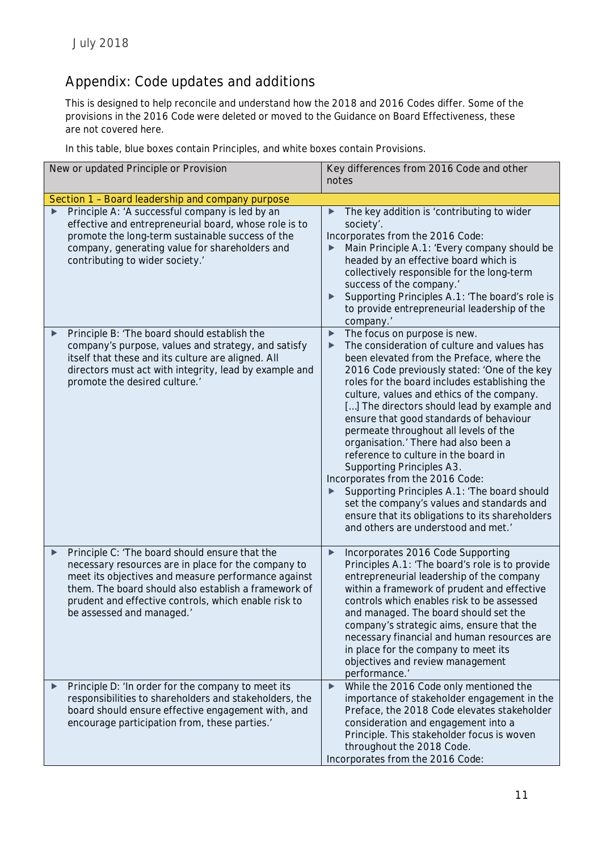# **Appendix: Code updates and additions**

This is designed to help reconcile and understand how the 2018 and 2016 Codes differ. Some of the provisions in the 2016 Code were deleted or moved to the Guidance on Board Effectiveness, these are not covered here.

In this table, blue boxes contain Principles, and white boxes contain Provisions.

| New or updated Principle or Provision                                                                                                                                                                                                                                                                          | Key differences from 2016 Code and other<br>notes                                                                                                                                                                                                                                                                                                                                                                                                                                                                                                                                                                                                                                                                                                                                      |  |
|----------------------------------------------------------------------------------------------------------------------------------------------------------------------------------------------------------------------------------------------------------------------------------------------------------------|----------------------------------------------------------------------------------------------------------------------------------------------------------------------------------------------------------------------------------------------------------------------------------------------------------------------------------------------------------------------------------------------------------------------------------------------------------------------------------------------------------------------------------------------------------------------------------------------------------------------------------------------------------------------------------------------------------------------------------------------------------------------------------------|--|
|                                                                                                                                                                                                                                                                                                                |                                                                                                                                                                                                                                                                                                                                                                                                                                                                                                                                                                                                                                                                                                                                                                                        |  |
| Section 1 - Board leadership and company purpose                                                                                                                                                                                                                                                               |                                                                                                                                                                                                                                                                                                                                                                                                                                                                                                                                                                                                                                                                                                                                                                                        |  |
| Principle A: 'A successful company is led by an<br>effective and entrepreneurial board, whose role is to<br>promote the long-term sustainable success of the<br>company, generating value for shareholders and<br>contributing to wider society.'                                                              | The key addition is 'contributing to wider<br>society'.<br>Incorporates from the 2016 Code:<br>Main Principle A.1: 'Every company should be<br>▶<br>headed by an effective board which is<br>collectively responsible for the long-term<br>success of the company.'<br>Supporting Principles A.1: 'The board's role is<br>$\blacktriangleright$<br>to provide entrepreneurial leadership of the<br>company.'                                                                                                                                                                                                                                                                                                                                                                           |  |
| Principle B: 'The board should establish the<br>▶<br>company's purpose, values and strategy, and satisfy<br>itself that these and its culture are aligned. All<br>directors must act with integrity, lead by example and<br>promote the desired culture.'                                                      | The focus on purpose is new.<br>$\blacktriangleright$<br>The consideration of culture and values has<br>▶<br>been elevated from the Preface, where the<br>2016 Code previously stated: 'One of the key<br>roles for the board includes establishing the<br>culture, values and ethics of the company.<br>[] The directors should lead by example and<br>ensure that good standards of behaviour<br>permeate throughout all levels of the<br>organisation.' There had also been a<br>reference to culture in the board in<br>Supporting Principles A3.<br>Incorporates from the 2016 Code:<br>Supporting Principles A.1: 'The board should<br>▶<br>set the company's values and standards and<br>ensure that its obligations to its shareholders<br>and others are understood and met.' |  |
| Principle C: 'The board should ensure that the<br>▶<br>necessary resources are in place for the company to<br>meet its objectives and measure performance against<br>them. The board should also establish a framework of<br>prudent and effective controls, which enable risk to<br>be assessed and managed.' | Incorporates 2016 Code Supporting<br>$\blacktriangleright$<br>Principles A.1: 'The board's role is to provide<br>entrepreneurial leadership of the company<br>within a framework of prudent and effective<br>controls which enables risk to be assessed<br>and managed. The board should set the<br>company's strategic aims, ensure that the<br>necessary financial and human resources are<br>in place for the company to meet its<br>objectives and review management<br>performance.'                                                                                                                                                                                                                                                                                              |  |
| Principle D: 'In order for the company to meet its<br>responsibilities to shareholders and stakeholders, the<br>board should ensure effective engagement with, and<br>encourage participation from, these parties.'                                                                                            | While the 2016 Code only mentioned the<br>$\blacktriangleright$<br>importance of stakeholder engagement in the<br>Preface, the 2018 Code elevates stakeholder<br>consideration and engagement into a<br>Principle. This stakeholder focus is woven<br>throughout the 2018 Code.<br>Incorporates from the 2016 Code:                                                                                                                                                                                                                                                                                                                                                                                                                                                                    |  |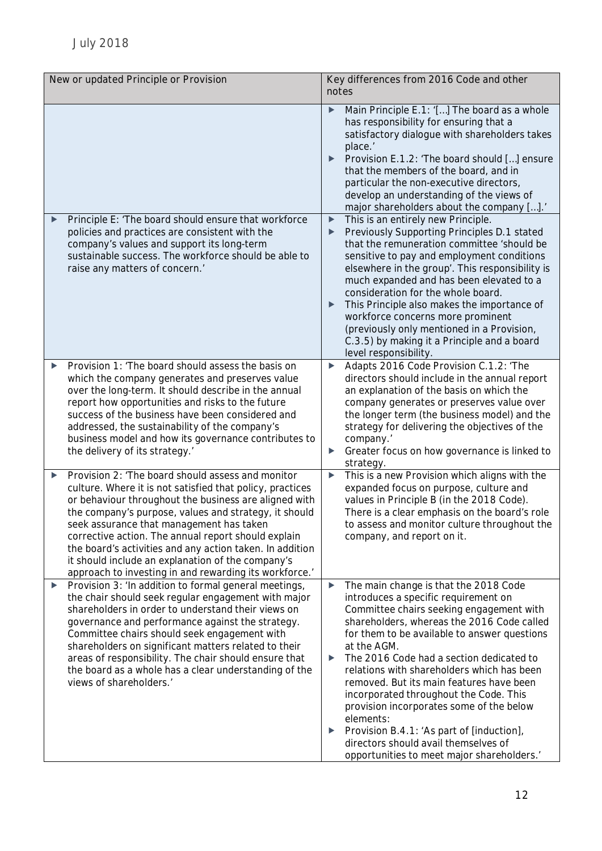| New or updated Principle or Provision                                                                                                                                                                                                                                                                                                                                                                                                                                                                               | Key differences from 2016 Code and other<br>notes                                                                                                                                                                                                                                                                                                                                                                                                                                                                                                                                                                                 |
|---------------------------------------------------------------------------------------------------------------------------------------------------------------------------------------------------------------------------------------------------------------------------------------------------------------------------------------------------------------------------------------------------------------------------------------------------------------------------------------------------------------------|-----------------------------------------------------------------------------------------------------------------------------------------------------------------------------------------------------------------------------------------------------------------------------------------------------------------------------------------------------------------------------------------------------------------------------------------------------------------------------------------------------------------------------------------------------------------------------------------------------------------------------------|
|                                                                                                                                                                                                                                                                                                                                                                                                                                                                                                                     | Main Principle E.1: '[] The board as a whole<br>▶<br>has responsibility for ensuring that a<br>satisfactory dialogue with shareholders takes<br>place.'<br>Provision E.1.2: 'The board should [] ensure<br>▶<br>that the members of the board, and in<br>particular the non-executive directors,<br>develop an understanding of the views of<br>major shareholders about the company [].'                                                                                                                                                                                                                                         |
| Principle E: 'The board should ensure that workforce<br>▶<br>policies and practices are consistent with the<br>company's values and support its long-term<br>sustainable success. The workforce should be able to<br>raise any matters of concern.'                                                                                                                                                                                                                                                                 | This is an entirely new Principle.<br>$\blacktriangleright$<br>Previously Supporting Principles D.1 stated<br>▶<br>that the remuneration committee 'should be<br>sensitive to pay and employment conditions<br>elsewhere in the group'. This responsibility is<br>much expanded and has been elevated to a<br>consideration for the whole board.<br>This Principle also makes the importance of<br>workforce concerns more prominent<br>(previously only mentioned in a Provision,<br>C.3.5) by making it a Principle and a board<br>level responsibility.                                                                        |
| Provision 1: 'The board should assess the basis on<br>▶<br>which the company generates and preserves value<br>over the long-term. It should describe in the annual<br>report how opportunities and risks to the future<br>success of the business have been considered and<br>addressed, the sustainability of the company's<br>business model and how its governance contributes to<br>the delivery of its strategy.'                                                                                              | Adapts 2016 Code Provision C.1.2: 'The<br>▶<br>directors should include in the annual report<br>an explanation of the basis on which the<br>company generates or preserves value over<br>the longer term (the business model) and the<br>strategy for delivering the objectives of the<br>company.'<br>Greater focus on how governance is linked to<br>▶<br>strategy.                                                                                                                                                                                                                                                             |
| Provision 2: 'The board should assess and monitor<br>▶<br>culture. Where it is not satisfied that policy, practices<br>or behaviour throughout the business are aligned with<br>the company's purpose, values and strategy, it should<br>seek assurance that management has taken<br>corrective action. The annual report should explain<br>the board's activities and any action taken. In addition<br>it should include an explanation of the company's<br>approach to investing in and rewarding its workforce.' | This is a new Provision which aligns with the<br>$\blacktriangleright$<br>expanded focus on purpose, culture and<br>values in Principle B (in the 2018 Code).<br>There is a clear emphasis on the board's role<br>to assess and monitor culture throughout the<br>company, and report on it.                                                                                                                                                                                                                                                                                                                                      |
| Provision 3: 'In addition to formal general meetings,<br>▶<br>the chair should seek regular engagement with major<br>shareholders in order to understand their views on<br>governance and performance against the strategy.<br>Committee chairs should seek engagement with<br>shareholders on significant matters related to their<br>areas of responsibility. The chair should ensure that<br>the board as a whole has a clear understanding of the<br>views of shareholders.'                                    | The main change is that the 2018 Code<br>▶<br>introduces a specific requirement on<br>Committee chairs seeking engagement with<br>shareholders, whereas the 2016 Code called<br>for them to be available to answer questions<br>at the AGM.<br>The 2016 Code had a section dedicated to<br>▶<br>relations with shareholders which has been<br>removed. But its main features have been<br>incorporated throughout the Code. This<br>provision incorporates some of the below<br>elements:<br>Provision B.4.1: 'As part of [induction],<br>▶<br>directors should avail themselves of<br>opportunities to meet major shareholders.' |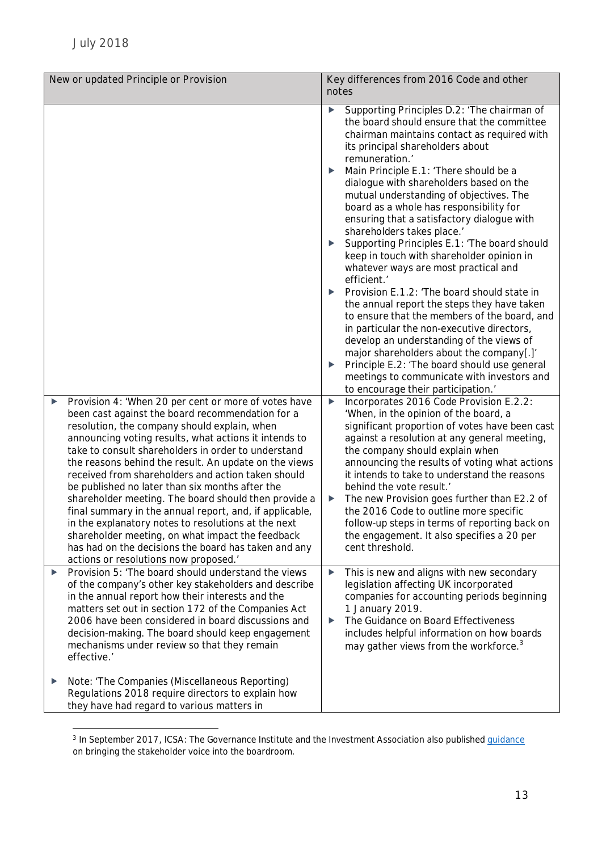|   | New or updated Principle or Provision                                                                                                                                                                                                                                                                                                                                                                                                                                                                                                                                                                                                                         | notes                      | Key differences from 2016 Code and other                                                                                                                                                                                                                                                                                                                                                                                                                                                                                                                                                                                                                                                                                                                                                                                                                                                                                                                                                                                                                                                                              |
|---|---------------------------------------------------------------------------------------------------------------------------------------------------------------------------------------------------------------------------------------------------------------------------------------------------------------------------------------------------------------------------------------------------------------------------------------------------------------------------------------------------------------------------------------------------------------------------------------------------------------------------------------------------------------|----------------------------|-----------------------------------------------------------------------------------------------------------------------------------------------------------------------------------------------------------------------------------------------------------------------------------------------------------------------------------------------------------------------------------------------------------------------------------------------------------------------------------------------------------------------------------------------------------------------------------------------------------------------------------------------------------------------------------------------------------------------------------------------------------------------------------------------------------------------------------------------------------------------------------------------------------------------------------------------------------------------------------------------------------------------------------------------------------------------------------------------------------------------|
| ▶ | Provision 4: 'When 20 per cent or more of votes have<br>been cast against the board recommendation for a                                                                                                                                                                                                                                                                                                                                                                                                                                                                                                                                                      | ▶<br>▶<br>▶<br>▶<br>▶<br>▶ | Supporting Principles D.2: 'The chairman of<br>the board should ensure that the committee<br>chairman maintains contact as required with<br>its principal shareholders about<br>remuneration.'<br>Main Principle E.1: 'There should be a<br>dialogue with shareholders based on the<br>mutual understanding of objectives. The<br>board as a whole has responsibility for<br>ensuring that a satisfactory dialogue with<br>shareholders takes place.'<br>Supporting Principles E.1: 'The board should<br>keep in touch with shareholder opinion in<br>whatever ways are most practical and<br>efficient.'<br>Provision E.1.2: 'The board should state in<br>the annual report the steps they have taken<br>to ensure that the members of the board, and<br>in particular the non-executive directors,<br>develop an understanding of the views of<br>major shareholders about the company[.]'<br>Principle E.2: 'The board should use general<br>meetings to communicate with investors and<br>to encourage their participation.'<br>Incorporates 2016 Code Provision E.2.2:<br>'When, in the opinion of the board, a |
|   | resolution, the company should explain, when<br>announcing voting results, what actions it intends to<br>take to consult shareholders in order to understand<br>the reasons behind the result. An update on the views<br>received from shareholders and action taken should<br>be published no later than six months after the<br>shareholder meeting. The board should then provide a<br>final summary in the annual report, and, if applicable,<br>in the explanatory notes to resolutions at the next<br>shareholder meeting, on what impact the feedback<br>has had on the decisions the board has taken and any<br>actions or resolutions now proposed.' | ▶                          | significant proportion of votes have been cast<br>against a resolution at any general meeting,<br>the company should explain when<br>announcing the results of voting what actions<br>it intends to take to understand the reasons<br>behind the vote result.'<br>The new Provision goes further than E2.2 of<br>the 2016 Code to outline more specific<br>follow-up steps in terms of reporting back on<br>the engagement. It also specifies a 20 per<br>cent threshold.                                                                                                                                                                                                                                                                                                                                                                                                                                                                                                                                                                                                                                             |
| ▶ | Provision 5: 'The board should understand the views<br>of the company's other key stakeholders and describe<br>in the annual report how their interests and the<br>matters set out in section 172 of the Companies Act<br>2006 have been considered in board discussions and<br>decision-making. The board should keep engagement<br>mechanisms under review so that they remain<br>effective.'                                                                                                                                                                                                                                                               | ▶<br>▶                     | This is new and aligns with new secondary<br>legislation affecting UK incorporated<br>companies for accounting periods beginning<br>1 January 2019.<br>The Guidance on Board Effectiveness<br>includes helpful information on how boards<br>may gather views from the workforce. <sup>3</sup>                                                                                                                                                                                                                                                                                                                                                                                                                                                                                                                                                                                                                                                                                                                                                                                                                         |
| ▶ | Note: 'The Companies (Miscellaneous Reporting)<br>Regulations 2018 require directors to explain how<br>they have had regard to various matters in                                                                                                                                                                                                                                                                                                                                                                                                                                                                                                             |                            |                                                                                                                                                                                                                                                                                                                                                                                                                                                                                                                                                                                                                                                                                                                                                                                                                                                                                                                                                                                                                                                                                                                       |

<span id="page-12-0"></span><sup>&</sup>lt;sup>3</sup> In September 2017, ICSA: The Governance Institute and the Investment Association also published guidance on bringing the stakeholder voice into the boardroom.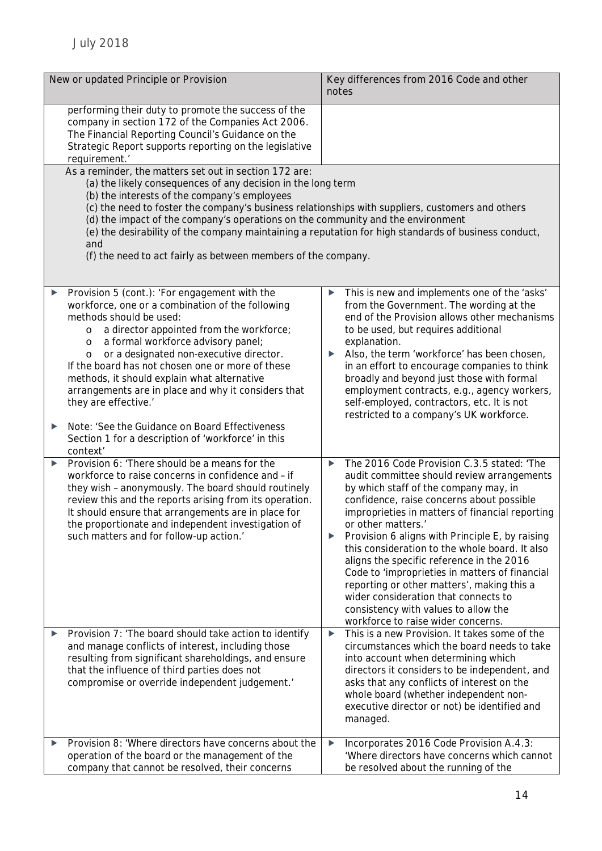| New or updated Principle or Provision                                                                                                                                                                                                                                                                                                                                                                                                                                                                                                                                                           | Key differences from 2016 Code and other<br>notes                                                                                                                                                                                                                                                                                                                                                                                                                                                                                                                                                                                         |
|-------------------------------------------------------------------------------------------------------------------------------------------------------------------------------------------------------------------------------------------------------------------------------------------------------------------------------------------------------------------------------------------------------------------------------------------------------------------------------------------------------------------------------------------------------------------------------------------------|-------------------------------------------------------------------------------------------------------------------------------------------------------------------------------------------------------------------------------------------------------------------------------------------------------------------------------------------------------------------------------------------------------------------------------------------------------------------------------------------------------------------------------------------------------------------------------------------------------------------------------------------|
| performing their duty to promote the success of the<br>company in section 172 of the Companies Act 2006.<br>The Financial Reporting Council's Guidance on the<br>Strategic Report supports reporting on the legislative<br>requirement.'                                                                                                                                                                                                                                                                                                                                                        |                                                                                                                                                                                                                                                                                                                                                                                                                                                                                                                                                                                                                                           |
| As a reminder, the matters set out in section 172 are:<br>(a) the likely consequences of any decision in the long term<br>(b) the interests of the company's employees<br>(c) the need to foster the company's business relationships with suppliers, customers and others<br>(d) the impact of the company's operations on the community and the environment<br>(e) the desirability of the company maintaining a reputation for high standards of business conduct,<br>and<br>(f) the need to act fairly as between members of the company.                                                   |                                                                                                                                                                                                                                                                                                                                                                                                                                                                                                                                                                                                                                           |
| Provision 5 (cont.): 'For engagement with the<br>workforce, one or a combination of the following<br>methods should be used:<br>a director appointed from the workforce;<br>$\circ$<br>a formal workforce advisory panel;<br>$\circ$<br>or a designated non-executive director.<br>O<br>If the board has not chosen one or more of these<br>methods, it should explain what alternative<br>arrangements are in place and why it considers that<br>they are effective.'<br>Note: 'See the Guidance on Board Effectiveness<br>▶<br>Section 1 for a description of 'workforce' in this<br>context' | This is new and implements one of the 'asks'<br>▶<br>from the Government. The wording at the<br>end of the Provision allows other mechanisms<br>to be used, but requires additional<br>explanation.<br>Also, the term 'workforce' has been chosen,<br>in an effort to encourage companies to think<br>broadly and beyond just those with formal<br>employment contracts, e.g., agency workers,<br>self-employed, contractors, etc. It is not<br>restricted to a company's UK workforce.                                                                                                                                                   |
| Provision 6: 'There should be a means for the<br>workforce to raise concerns in confidence and - if<br>they wish - anonymously. The board should routinely<br>review this and the reports arising from its operation.<br>It should ensure that arrangements are in place for<br>the proportionate and independent investigation of<br>such matters and for follow-up action.'                                                                                                                                                                                                                   | The 2016 Code Provision C.3.5 stated: 'The<br>▶<br>audit committee should review arrangements<br>by which staff of the company may, in<br>confidence, raise concerns about possible<br>improprieties in matters of financial reporting<br>or other matters.'<br>Provision 6 aligns with Principle E, by raising<br>▶<br>this consideration to the whole board. It also<br>aligns the specific reference in the 2016<br>Code to 'improprieties in matters of financial<br>reporting or other matters', making this a<br>wider consideration that connects to<br>consistency with values to allow the<br>workforce to raise wider concerns. |
| Provision 7: 'The board should take action to identify<br>and manage conflicts of interest, including those<br>resulting from significant shareholdings, and ensure<br>that the influence of third parties does not<br>compromise or override independent judgement.'                                                                                                                                                                                                                                                                                                                           | This is a new Provision. It takes some of the<br>▶<br>circumstances which the board needs to take<br>into account when determining which<br>directors it considers to be independent, and<br>asks that any conflicts of interest on the<br>whole board (whether independent non-<br>executive director or not) be identified and<br>managed.                                                                                                                                                                                                                                                                                              |
| Provision 8: 'Where directors have concerns about the<br>operation of the board or the management of the<br>company that cannot be resolved, their concerns                                                                                                                                                                                                                                                                                                                                                                                                                                     | Incorporates 2016 Code Provision A.4.3:<br>▶<br>'Where directors have concerns which cannot<br>be resolved about the running of the                                                                                                                                                                                                                                                                                                                                                                                                                                                                                                       |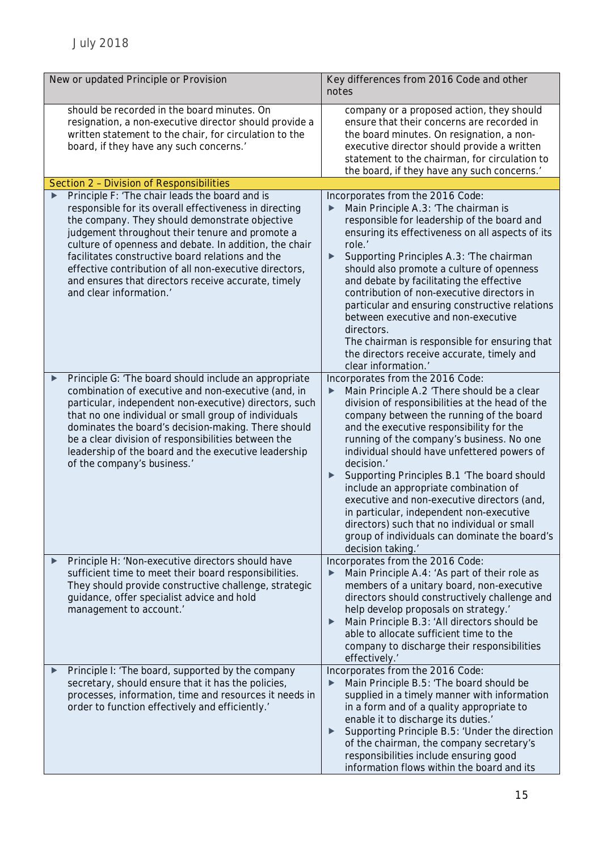| New or updated Principle or Provision |                                                                                                                                                                                                                                                                                                                                                                                                                                                                         | Key differences from 2016 Code and other<br>notes                                                                                                                                                                                                                                                                                                                                                                                                                                                                                                                                                                                                      |  |
|---------------------------------------|-------------------------------------------------------------------------------------------------------------------------------------------------------------------------------------------------------------------------------------------------------------------------------------------------------------------------------------------------------------------------------------------------------------------------------------------------------------------------|--------------------------------------------------------------------------------------------------------------------------------------------------------------------------------------------------------------------------------------------------------------------------------------------------------------------------------------------------------------------------------------------------------------------------------------------------------------------------------------------------------------------------------------------------------------------------------------------------------------------------------------------------------|--|
|                                       | should be recorded in the board minutes. On<br>resignation, a non-executive director should provide a<br>written statement to the chair, for circulation to the<br>board, if they have any such concerns.'                                                                                                                                                                                                                                                              | company or a proposed action, they should<br>ensure that their concerns are recorded in<br>the board minutes. On resignation, a non-<br>executive director should provide a written<br>statement to the chairman, for circulation to<br>the board, if they have any such concerns.'                                                                                                                                                                                                                                                                                                                                                                    |  |
|                                       | Section 2 - Division of Responsibilities                                                                                                                                                                                                                                                                                                                                                                                                                                |                                                                                                                                                                                                                                                                                                                                                                                                                                                                                                                                                                                                                                                        |  |
|                                       | Principle F: 'The chair leads the board and is<br>responsible for its overall effectiveness in directing<br>the company. They should demonstrate objective<br>judgement throughout their tenure and promote a<br>culture of openness and debate. In addition, the chair<br>facilitates constructive board relations and the<br>effective contribution of all non-executive directors,<br>and ensures that directors receive accurate, timely<br>and clear information.' | Incorporates from the 2016 Code:<br>Main Principle A.3: 'The chairman is<br>responsible for leadership of the board and<br>ensuring its effectiveness on all aspects of its<br>role.'<br>Supporting Principles A.3: 'The chairman<br>▶<br>should also promote a culture of openness<br>and debate by facilitating the effective<br>contribution of non-executive directors in<br>particular and ensuring constructive relations<br>between executive and non-executive<br>directors.<br>The chairman is responsible for ensuring that<br>the directors receive accurate, timely and<br>clear information.'                                             |  |
|                                       | Principle G: 'The board should include an appropriate<br>▶<br>combination of executive and non-executive (and, in<br>particular, independent non-executive) directors, such<br>that no one individual or small group of individuals<br>dominates the board's decision-making. There should<br>be a clear division of responsibilities between the<br>leadership of the board and the executive leadership<br>of the company's business.'                                | Incorporates from the 2016 Code:<br>Main Principle A.2 'There should be a clear<br>▶<br>division of responsibilities at the head of the<br>company between the running of the board<br>and the executive responsibility for the<br>running of the company's business. No one<br>individual should have unfettered powers of<br>decision.'<br>Supporting Principles B.1 'The board should<br>▶<br>include an appropriate combination of<br>executive and non-executive directors (and,<br>in particular, independent non-executive<br>directors) such that no individual or small<br>group of individuals can dominate the board's<br>decision taking.' |  |
|                                       | Principle H: 'Non-executive directors should have<br>▶<br>sufficient time to meet their board responsibilities.<br>They should provide constructive challenge, strategic<br>guidance, offer specialist advice and hold<br>management to account.'                                                                                                                                                                                                                       | Incorporates from the 2016 Code:<br>Main Principle A.4: 'As part of their role as<br>▶<br>members of a unitary board, non-executive<br>directors should constructively challenge and<br>help develop proposals on strategy.'<br>Main Principle B.3: 'All directors should be<br>▶<br>able to allocate sufficient time to the<br>company to discharge their responsibilities<br>effectively.'                                                                                                                                                                                                                                                           |  |
|                                       | Principle I: 'The board, supported by the company<br>▶<br>secretary, should ensure that it has the policies,<br>processes, information, time and resources it needs in<br>order to function effectively and efficiently.'                                                                                                                                                                                                                                               | Incorporates from the 2016 Code:<br>Main Principle B.5: 'The board should be<br>▶<br>supplied in a timely manner with information<br>in a form and of a quality appropriate to<br>enable it to discharge its duties.'<br>Supporting Principle B.5: 'Under the direction<br>▶<br>of the chairman, the company secretary's<br>responsibilities include ensuring good<br>information flows within the board and its                                                                                                                                                                                                                                       |  |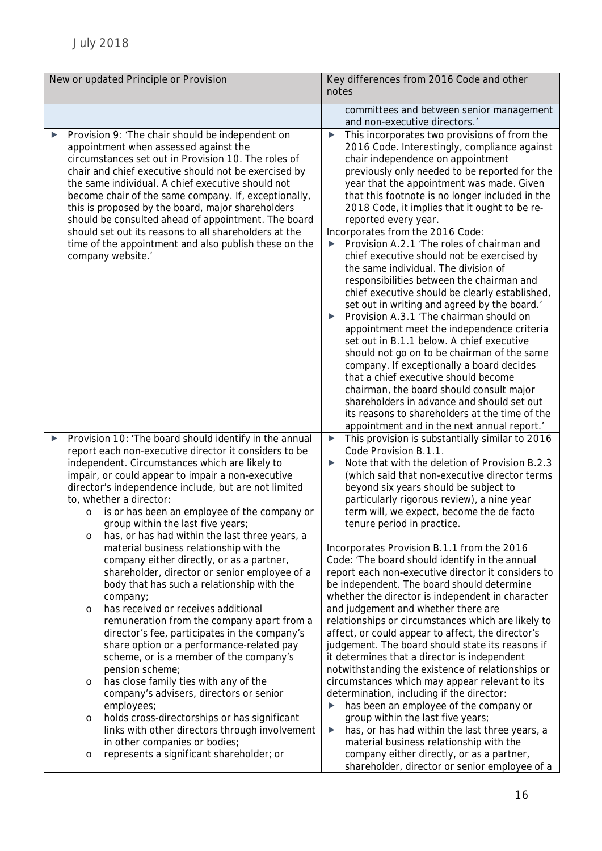| New or updated Principle or Provision                                                                                                                                                                                                                                                                                                                                                                                                                                                                                                                                                                                                                                                                                                                                                                                                                                                                                                                                                                                                                                                                                                                                                                 | Key differences from 2016 Code and other                                                                                                                                                                                                                                                                                                                                                                                                                                                                                                                                                                                                                                                                                                                                                                                                                                                                                                                                                                                                                                                                                                                                                                        |
|-------------------------------------------------------------------------------------------------------------------------------------------------------------------------------------------------------------------------------------------------------------------------------------------------------------------------------------------------------------------------------------------------------------------------------------------------------------------------------------------------------------------------------------------------------------------------------------------------------------------------------------------------------------------------------------------------------------------------------------------------------------------------------------------------------------------------------------------------------------------------------------------------------------------------------------------------------------------------------------------------------------------------------------------------------------------------------------------------------------------------------------------------------------------------------------------------------|-----------------------------------------------------------------------------------------------------------------------------------------------------------------------------------------------------------------------------------------------------------------------------------------------------------------------------------------------------------------------------------------------------------------------------------------------------------------------------------------------------------------------------------------------------------------------------------------------------------------------------------------------------------------------------------------------------------------------------------------------------------------------------------------------------------------------------------------------------------------------------------------------------------------------------------------------------------------------------------------------------------------------------------------------------------------------------------------------------------------------------------------------------------------------------------------------------------------|
|                                                                                                                                                                                                                                                                                                                                                                                                                                                                                                                                                                                                                                                                                                                                                                                                                                                                                                                                                                                                                                                                                                                                                                                                       | notes                                                                                                                                                                                                                                                                                                                                                                                                                                                                                                                                                                                                                                                                                                                                                                                                                                                                                                                                                                                                                                                                                                                                                                                                           |
|                                                                                                                                                                                                                                                                                                                                                                                                                                                                                                                                                                                                                                                                                                                                                                                                                                                                                                                                                                                                                                                                                                                                                                                                       | committees and between senior management<br>and non-executive directors.'                                                                                                                                                                                                                                                                                                                                                                                                                                                                                                                                                                                                                                                                                                                                                                                                                                                                                                                                                                                                                                                                                                                                       |
| Provision 9: 'The chair should be independent on<br>▶<br>appointment when assessed against the<br>circumstances set out in Provision 10. The roles of<br>chair and chief executive should not be exercised by<br>the same individual. A chief executive should not<br>become chair of the same company. If, exceptionally,<br>this is proposed by the board, major shareholders<br>should be consulted ahead of appointment. The board<br>should set out its reasons to all shareholders at the<br>time of the appointment and also publish these on the<br>company website.'                                                                                                                                                                                                                                                                                                                                                                                                                                                                                                                                                                                                                         | This incorporates two provisions of from the<br>▶<br>2016 Code. Interestingly, compliance against<br>chair independence on appointment<br>previously only needed to be reported for the<br>year that the appointment was made. Given<br>that this footnote is no longer included in the<br>2018 Code, it implies that it ought to be re-<br>reported every year.<br>Incorporates from the 2016 Code:<br>Provision A.2.1 'The roles of chairman and<br>▶<br>chief executive should not be exercised by<br>the same individual. The division of<br>responsibilities between the chairman and<br>chief executive should be clearly established,<br>set out in writing and agreed by the board.'<br>Provision A.3.1 'The chairman should on<br>appointment meet the independence criteria<br>set out in B.1.1 below. A chief executive<br>should not go on to be chairman of the same<br>company. If exceptionally a board decides<br>that a chief executive should become<br>chairman, the board should consult major<br>shareholders in advance and should set out<br>its reasons to shareholders at the time of the<br>appointment and in the next annual report.'                                               |
| Provision 10: 'The board should identify in the annual<br>▶<br>report each non-executive director it considers to be<br>independent. Circumstances which are likely to<br>impair, or could appear to impair a non-executive<br>director's independence include, but are not limited<br>to, whether a director:<br>is or has been an employee of the company or<br>$\circ$<br>group within the last five years;<br>has, or has had within the last three years, a<br>$\circ$<br>material business relationship with the<br>company either directly, or as a partner,<br>shareholder, director or senior employee of a<br>body that has such a relationship with the<br>company;<br>has received or receives additional<br>$\circ$<br>remuneration from the company apart from a<br>director's fee, participates in the company's<br>share option or a performance-related pay<br>scheme, or is a member of the company's<br>pension scheme;<br>has close family ties with any of the<br>$\circ$<br>company's advisers, directors or senior<br>employees;<br>holds cross-directorships or has significant<br>$\circ$<br>links with other directors through involvement<br>in other companies or bodies; | This provision is substantially similar to 2016<br>▶<br>Code Provision B.1.1.<br>Note that with the deletion of Provision B.2.3<br>▶<br>(which said that non-executive director terms<br>beyond six years should be subject to<br>particularly rigorous review), a nine year<br>term will, we expect, become the de facto<br>tenure period in practice.<br>Incorporates Provision B.1.1 from the 2016<br>Code: 'The board should identify in the annual<br>report each non-executive director it considers to<br>be independent. The board should determine<br>whether the director is independent in character<br>and judgement and whether there are<br>relationships or circumstances which are likely to<br>affect, or could appear to affect, the director's<br>judgement. The board should state its reasons if<br>it determines that a director is independent<br>notwithstanding the existence of relationships or<br>circumstances which may appear relevant to its<br>determination, including if the director:<br>has been an employee of the company or<br>▶<br>group within the last five years;<br>has, or has had within the last three years, a<br>▶<br>material business relationship with the |
| represents a significant shareholder; or<br>$\circ$                                                                                                                                                                                                                                                                                                                                                                                                                                                                                                                                                                                                                                                                                                                                                                                                                                                                                                                                                                                                                                                                                                                                                   | company either directly, or as a partner,<br>shareholder, director or senior employee of a                                                                                                                                                                                                                                                                                                                                                                                                                                                                                                                                                                                                                                                                                                                                                                                                                                                                                                                                                                                                                                                                                                                      |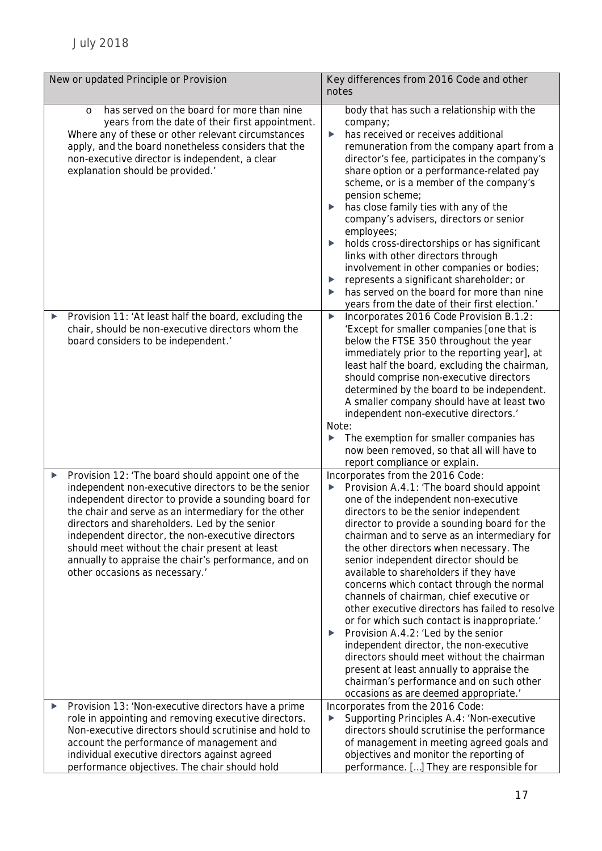| New or updated Principle or Provision                                                                                                                                                                                                                                                                                                                                                                                                                                             | Key differences from 2016 Code and other<br>notes                                                                                                                                                                                                                                                                                                                                                                                                                                                                                                                                                                                                                                                                                                                                                                                                                      |  |
|-----------------------------------------------------------------------------------------------------------------------------------------------------------------------------------------------------------------------------------------------------------------------------------------------------------------------------------------------------------------------------------------------------------------------------------------------------------------------------------|------------------------------------------------------------------------------------------------------------------------------------------------------------------------------------------------------------------------------------------------------------------------------------------------------------------------------------------------------------------------------------------------------------------------------------------------------------------------------------------------------------------------------------------------------------------------------------------------------------------------------------------------------------------------------------------------------------------------------------------------------------------------------------------------------------------------------------------------------------------------|--|
| has served on the board for more than nine<br>$\circ$<br>years from the date of their first appointment.<br>Where any of these or other relevant circumstances<br>apply, and the board nonetheless considers that the<br>non-executive director is independent, a clear<br>explanation should be provided.'                                                                                                                                                                       | body that has such a relationship with the<br>company;<br>has received or receives additional<br>$\blacktriangleright$<br>remuneration from the company apart from a<br>director's fee, participates in the company's<br>share option or a performance-related pay<br>scheme, or is a member of the company's<br>pension scheme;<br>has close family ties with any of the<br>▶<br>company's advisers, directors or senior<br>employees;<br>holds cross-directorships or has significant<br>▶<br>links with other directors through<br>involvement in other companies or bodies;<br>represents a significant shareholder; or<br>▶<br>has served on the board for more than nine<br>▶<br>years from the date of their first election.'                                                                                                                                   |  |
| Provision 11: 'At least half the board, excluding the<br>▶<br>chair, should be non-executive directors whom the<br>board considers to be independent.'                                                                                                                                                                                                                                                                                                                            | Incorporates 2016 Code Provision B.1.2:<br>▶<br>'Except for smaller companies [one that is<br>below the FTSE 350 throughout the year<br>immediately prior to the reporting year], at<br>least half the board, excluding the chairman,<br>should comprise non-executive directors<br>determined by the board to be independent.<br>A smaller company should have at least two<br>independent non-executive directors.'<br>Note:<br>The exemption for smaller companies has<br>now been removed, so that all will have to<br>report compliance or explain.                                                                                                                                                                                                                                                                                                               |  |
| Provision 12: 'The board should appoint one of the<br>▶<br>independent non-executive directors to be the senior<br>independent director to provide a sounding board for<br>the chair and serve as an intermediary for the other<br>directors and shareholders. Led by the senior<br>independent director, the non-executive directors<br>should meet without the chair present at least<br>annually to appraise the chair's performance, and on<br>other occasions as necessary.' | Incorporates from the 2016 Code:<br>Provision A.4.1: 'The board should appoint<br>▶<br>one of the independent non-executive<br>directors to be the senior independent<br>director to provide a sounding board for the<br>chairman and to serve as an intermediary for<br>the other directors when necessary. The<br>senior independent director should be<br>available to shareholders if they have<br>concerns which contact through the normal<br>channels of chairman, chief executive or<br>other executive directors has failed to resolve<br>or for which such contact is inappropriate.'<br>Provision A.4.2: 'Led by the senior<br>▶<br>independent director, the non-executive<br>directors should meet without the chairman<br>present at least annually to appraise the<br>chairman's performance and on such other<br>occasions as are deemed appropriate.' |  |
| Provision 13: 'Non-executive directors have a prime<br>▶<br>role in appointing and removing executive directors.<br>Non-executive directors should scrutinise and hold to<br>account the performance of management and<br>individual executive directors against agreed<br>performance objectives. The chair should hold                                                                                                                                                          | Incorporates from the 2016 Code:<br>Supporting Principles A.4: 'Non-executive<br>$\blacktriangleright$<br>directors should scrutinise the performance<br>of management in meeting agreed goals and<br>objectives and monitor the reporting of<br>performance. [] They are responsible for                                                                                                                                                                                                                                                                                                                                                                                                                                                                                                                                                                              |  |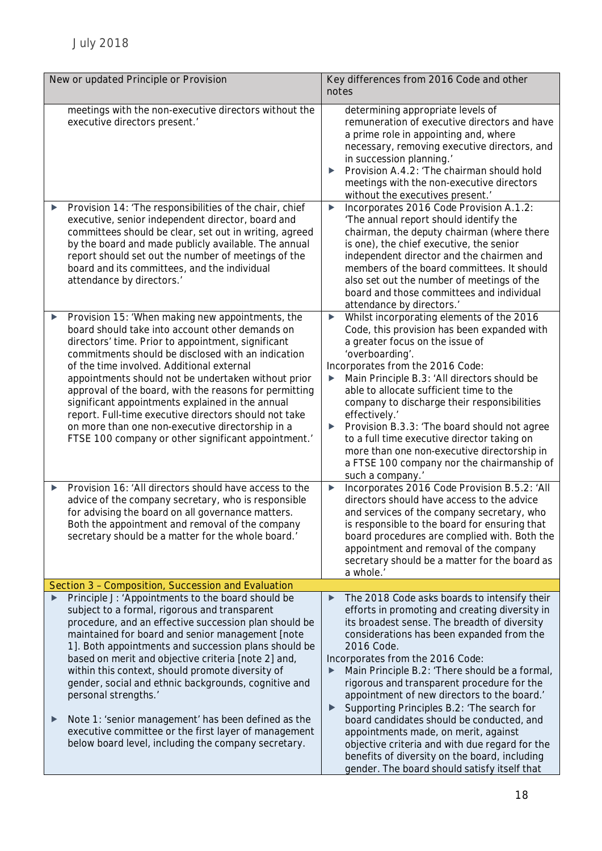| New or updated Principle or Provision                                                                                                                                                                                                                                                                                                                                                                                                                                                                                                                                                                                                         | Key differences from 2016 Code and other<br>notes                                                                                                                                                                                                                                                                                                                                                                                                                                                                                                                                                                                                                                                                     |  |
|-----------------------------------------------------------------------------------------------------------------------------------------------------------------------------------------------------------------------------------------------------------------------------------------------------------------------------------------------------------------------------------------------------------------------------------------------------------------------------------------------------------------------------------------------------------------------------------------------------------------------------------------------|-----------------------------------------------------------------------------------------------------------------------------------------------------------------------------------------------------------------------------------------------------------------------------------------------------------------------------------------------------------------------------------------------------------------------------------------------------------------------------------------------------------------------------------------------------------------------------------------------------------------------------------------------------------------------------------------------------------------------|--|
| meetings with the non-executive directors without the<br>executive directors present.'                                                                                                                                                                                                                                                                                                                                                                                                                                                                                                                                                        | determining appropriate levels of<br>remuneration of executive directors and have<br>a prime role in appointing and, where<br>necessary, removing executive directors, and<br>in succession planning.'<br>Provision A.4.2: 'The chairman should hold<br>meetings with the non-executive directors<br>without the executives present.                                                                                                                                                                                                                                                                                                                                                                                  |  |
| Provision 14: 'The responsibilities of the chair, chief<br>executive, senior independent director, board and<br>committees should be clear, set out in writing, agreed<br>by the board and made publicly available. The annual<br>report should set out the number of meetings of the<br>board and its committees, and the individual<br>attendance by directors.'                                                                                                                                                                                                                                                                            | Incorporates 2016 Code Provision A.1.2:<br>$\blacktriangleright$<br>'The annual report should identify the<br>chairman, the deputy chairman (where there<br>is one), the chief executive, the senior<br>independent director and the chairmen and<br>members of the board committees. It should<br>also set out the number of meetings of the<br>board and those committees and individual<br>attendance by directors.'                                                                                                                                                                                                                                                                                               |  |
| Provision 15: 'When making new appointments, the<br>$\blacktriangleright$<br>board should take into account other demands on<br>directors' time. Prior to appointment, significant<br>commitments should be disclosed with an indication<br>of the time involved. Additional external<br>appointments should not be undertaken without prior<br>approval of the board, with the reasons for permitting<br>significant appointments explained in the annual<br>report. Full-time executive directors should not take<br>on more than one non-executive directorship in a<br>FTSE 100 company or other significant appointment.                 | Whilst incorporating elements of the 2016<br>▶<br>Code, this provision has been expanded with<br>a greater focus on the issue of<br>'overboarding'.<br>Incorporates from the 2016 Code:<br>Main Principle B.3: 'All directors should be<br>▶<br>able to allocate sufficient time to the<br>company to discharge their responsibilities<br>effectively.'<br>Provision B.3.3: 'The board should not agree<br>▶<br>to a full time executive director taking on<br>more than one non-executive directorship in<br>a FTSE 100 company nor the chairmanship of<br>such a company.'                                                                                                                                          |  |
| Provision 16: 'All directors should have access to the<br>▶<br>advice of the company secretary, who is responsible<br>for advising the board on all governance matters.<br>Both the appointment and removal of the company<br>secretary should be a matter for the whole board.'                                                                                                                                                                                                                                                                                                                                                              | Incorporates 2016 Code Provision B.5.2: 'All<br>▶<br>directors should have access to the advice<br>and services of the company secretary, who<br>is responsible to the board for ensuring that<br>board procedures are complied with. Both the<br>appointment and removal of the company<br>secretary should be a matter for the board as<br>a whole.'                                                                                                                                                                                                                                                                                                                                                                |  |
| Section 3 - Composition, Succession and Evaluation                                                                                                                                                                                                                                                                                                                                                                                                                                                                                                                                                                                            |                                                                                                                                                                                                                                                                                                                                                                                                                                                                                                                                                                                                                                                                                                                       |  |
| Principle J: 'Appointments to the board should be<br>subject to a formal, rigorous and transparent<br>procedure, and an effective succession plan should be<br>maintained for board and senior management [note<br>1]. Both appointments and succession plans should be<br>based on merit and objective criteria [note 2] and,<br>within this context, should promote diversity of<br>gender, social and ethnic backgrounds, cognitive and<br>personal strengths.'<br>Note 1: 'senior management' has been defined as the<br>▶<br>executive committee or the first layer of management<br>below board level, including the company secretary. | The 2018 Code asks boards to intensify their<br>▶<br>efforts in promoting and creating diversity in<br>its broadest sense. The breadth of diversity<br>considerations has been expanded from the<br>2016 Code.<br>Incorporates from the 2016 Code:<br>Main Principle B.2: 'There should be a formal,<br>▶<br>rigorous and transparent procedure for the<br>appointment of new directors to the board.'<br>Supporting Principles B.2: 'The search for<br>$\blacktriangleright$<br>board candidates should be conducted, and<br>appointments made, on merit, against<br>objective criteria and with due regard for the<br>benefits of diversity on the board, including<br>gender. The board should satisfy itself that |  |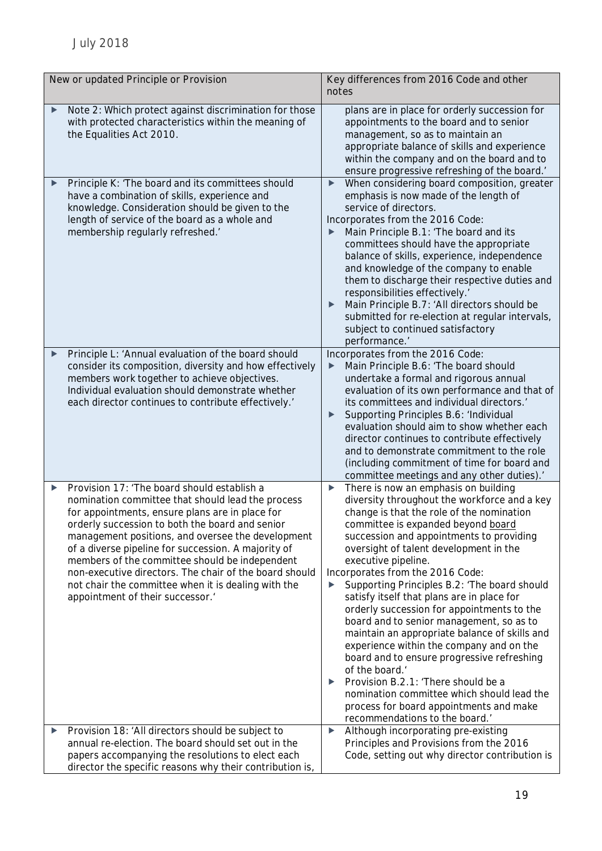| New or updated Principle or Provision                                                                                                                                                                                                                                                                                                                                                                                                                                                                                          | Key differences from 2016 Code and other<br>notes                                                                                                                                                                                                                                                                                                                                                                                                                                                                                                                                                                                                                                                                                                                                                                                                             |  |
|--------------------------------------------------------------------------------------------------------------------------------------------------------------------------------------------------------------------------------------------------------------------------------------------------------------------------------------------------------------------------------------------------------------------------------------------------------------------------------------------------------------------------------|---------------------------------------------------------------------------------------------------------------------------------------------------------------------------------------------------------------------------------------------------------------------------------------------------------------------------------------------------------------------------------------------------------------------------------------------------------------------------------------------------------------------------------------------------------------------------------------------------------------------------------------------------------------------------------------------------------------------------------------------------------------------------------------------------------------------------------------------------------------|--|
| Note 2: Which protect against discrimination for those<br>with protected characteristics within the meaning of<br>the Equalities Act 2010.                                                                                                                                                                                                                                                                                                                                                                                     | plans are in place for orderly succession for<br>appointments to the board and to senior<br>management, so as to maintain an<br>appropriate balance of skills and experience<br>within the company and on the board and to<br>ensure progressive refreshing of the board.'                                                                                                                                                                                                                                                                                                                                                                                                                                                                                                                                                                                    |  |
| Principle K: 'The board and its committees should<br>have a combination of skills, experience and<br>knowledge. Consideration should be given to the<br>length of service of the board as a whole and<br>membership regularly refreshed.'                                                                                                                                                                                                                                                                                      | When considering board composition, greater<br>▶<br>emphasis is now made of the length of<br>service of directors.<br>Incorporates from the 2016 Code:<br>Main Principle B.1: 'The board and its<br>committees should have the appropriate<br>balance of skills, experience, independence<br>and knowledge of the company to enable<br>them to discharge their respective duties and<br>responsibilities effectively.'<br>Main Principle B.7: 'All directors should be<br>submitted for re-election at regular intervals,<br>subject to continued satisfactory<br>performance.'                                                                                                                                                                                                                                                                               |  |
| Principle L: 'Annual evaluation of the board should<br>▶<br>consider its composition, diversity and how effectively<br>members work together to achieve objectives.<br>Individual evaluation should demonstrate whether<br>each director continues to contribute effectively.'                                                                                                                                                                                                                                                 | Incorporates from the 2016 Code:<br>Main Principle B.6: 'The board should<br>undertake a formal and rigorous annual<br>evaluation of its own performance and that of<br>its committees and individual directors.<br>Supporting Principles B.6: 'Individual<br>evaluation should aim to show whether each<br>director continues to contribute effectively<br>and to demonstrate commitment to the role<br>(including commitment of time for board and<br>committee meetings and any other duties).'                                                                                                                                                                                                                                                                                                                                                            |  |
| Provision 17: 'The board should establish a<br>▶<br>nomination committee that should lead the process<br>for appointments, ensure plans are in place for<br>orderly succession to both the board and senior<br>management positions, and oversee the development<br>of a diverse pipeline for succession. A majority of<br>members of the committee should be independent<br>non-executive directors. The chair of the board should<br>not chair the committee when it is dealing with the<br>appointment of their successor.' | There is now an emphasis on building<br>▶<br>diversity throughout the workforce and a key<br>change is that the role of the nomination<br>committee is expanded beyond board<br>succession and appointments to providing<br>oversight of talent development in the<br>executive pipeline.<br>Incorporates from the 2016 Code:<br>Supporting Principles B.2: 'The board should<br>▶<br>satisfy itself that plans are in place for<br>orderly succession for appointments to the<br>board and to senior management, so as to<br>maintain an appropriate balance of skills and<br>experience within the company and on the<br>board and to ensure progressive refreshing<br>of the board.<br>Provision B.2.1: 'There should be a<br>▶<br>nomination committee which should lead the<br>process for board appointments and make<br>recommendations to the board.' |  |
| Provision 18: 'All directors should be subject to<br>▶<br>annual re-election. The board should set out in the<br>papers accompanying the resolutions to elect each<br>director the specific reasons why their contribution is,                                                                                                                                                                                                                                                                                                 | Although incorporating pre-existing<br>▶<br>Principles and Provisions from the 2016<br>Code, setting out why director contribution is                                                                                                                                                                                                                                                                                                                                                                                                                                                                                                                                                                                                                                                                                                                         |  |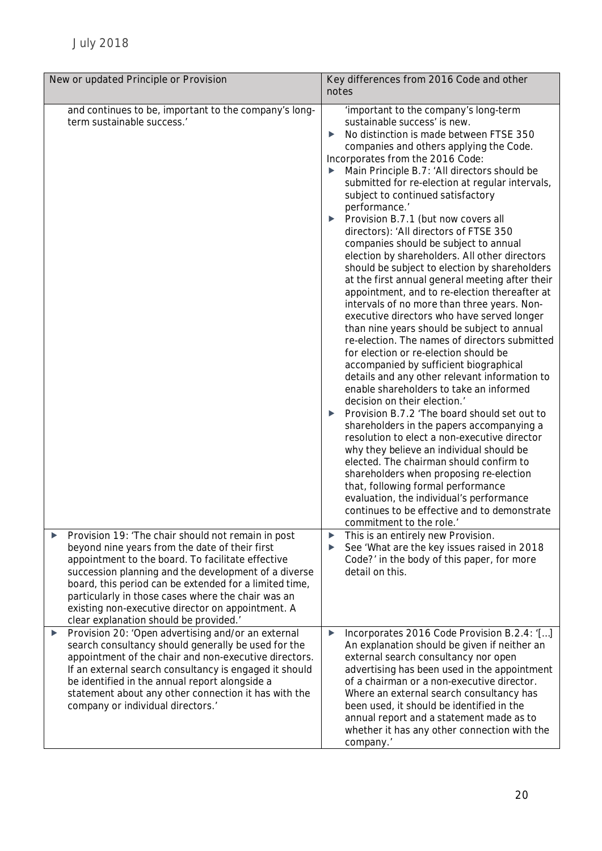| New or updated Principle or Provision                                                                                                                                                                                                                                                                                                                                            | Key differences from 2016 Code and other<br>notes                                                                                                                                                                                                                                                                                                                                                                                                                                                                                                                                                                                                                                                                                                                                                                                                                                                                                                                                                                                                                                                                                                                                                                                                                                                                                                                                                                                                                                                                                                                                                          |  |
|----------------------------------------------------------------------------------------------------------------------------------------------------------------------------------------------------------------------------------------------------------------------------------------------------------------------------------------------------------------------------------|------------------------------------------------------------------------------------------------------------------------------------------------------------------------------------------------------------------------------------------------------------------------------------------------------------------------------------------------------------------------------------------------------------------------------------------------------------------------------------------------------------------------------------------------------------------------------------------------------------------------------------------------------------------------------------------------------------------------------------------------------------------------------------------------------------------------------------------------------------------------------------------------------------------------------------------------------------------------------------------------------------------------------------------------------------------------------------------------------------------------------------------------------------------------------------------------------------------------------------------------------------------------------------------------------------------------------------------------------------------------------------------------------------------------------------------------------------------------------------------------------------------------------------------------------------------------------------------------------------|--|
| and continues to be, important to the company's long-<br>term sustainable success.'<br>Provision 19: 'The chair should not remain in post<br>▶                                                                                                                                                                                                                                   | 'important to the company's long-term<br>sustainable success' is new.<br>No distinction is made between FTSE 350<br>▶<br>companies and others applying the Code.<br>Incorporates from the 2016 Code:<br>Main Principle B.7: 'All directors should be<br>submitted for re-election at regular intervals,<br>subject to continued satisfactory<br>performance.'<br>Provision B.7.1 (but now covers all<br>▶<br>directors): 'All directors of FTSE 350<br>companies should be subject to annual<br>election by shareholders. All other directors<br>should be subject to election by shareholders<br>at the first annual general meeting after their<br>appointment, and to re-election thereafter at<br>intervals of no more than three years. Non-<br>executive directors who have served longer<br>than nine years should be subject to annual<br>re-election. The names of directors submitted<br>for election or re-election should be<br>accompanied by sufficient biographical<br>details and any other relevant information to<br>enable shareholders to take an informed<br>decision on their election.<br>Provision B.7.2 'The board should set out to<br>▶<br>shareholders in the papers accompanying a<br>resolution to elect a non-executive director<br>why they believe an individual should be<br>elected. The chairman should confirm to<br>shareholders when proposing re-election<br>that, following formal performance<br>evaluation, the individual's performance<br>continues to be effective and to demonstrate<br>commitment to the role.'<br>This is an entirely new Provision.<br>▶ |  |
| beyond nine years from the date of their first<br>appointment to the board. To facilitate effective<br>succession planning and the development of a diverse<br>board, this period can be extended for a limited time,<br>particularly in those cases where the chair was an<br>existing non-executive director on appointment. A<br>clear explanation should be provided.'       | See 'What are the key issues raised in 2018<br>▶<br>Code?' in the body of this paper, for more<br>detail on this.                                                                                                                                                                                                                                                                                                                                                                                                                                                                                                                                                                                                                                                                                                                                                                                                                                                                                                                                                                                                                                                                                                                                                                                                                                                                                                                                                                                                                                                                                          |  |
| Provision 20: 'Open advertising and/or an external<br>▶<br>search consultancy should generally be used for the<br>appointment of the chair and non-executive directors.<br>If an external search consultancy is engaged it should<br>be identified in the annual report alongside a<br>statement about any other connection it has with the<br>company or individual directors.' | Incorporates 2016 Code Provision B.2.4: '[]<br>▶<br>An explanation should be given if neither an<br>external search consultancy nor open<br>advertising has been used in the appointment<br>of a chairman or a non-executive director.<br>Where an external search consultancy has<br>been used, it should be identified in the<br>annual report and a statement made as to<br>whether it has any other connection with the<br>company.'                                                                                                                                                                                                                                                                                                                                                                                                                                                                                                                                                                                                                                                                                                                                                                                                                                                                                                                                                                                                                                                                                                                                                                   |  |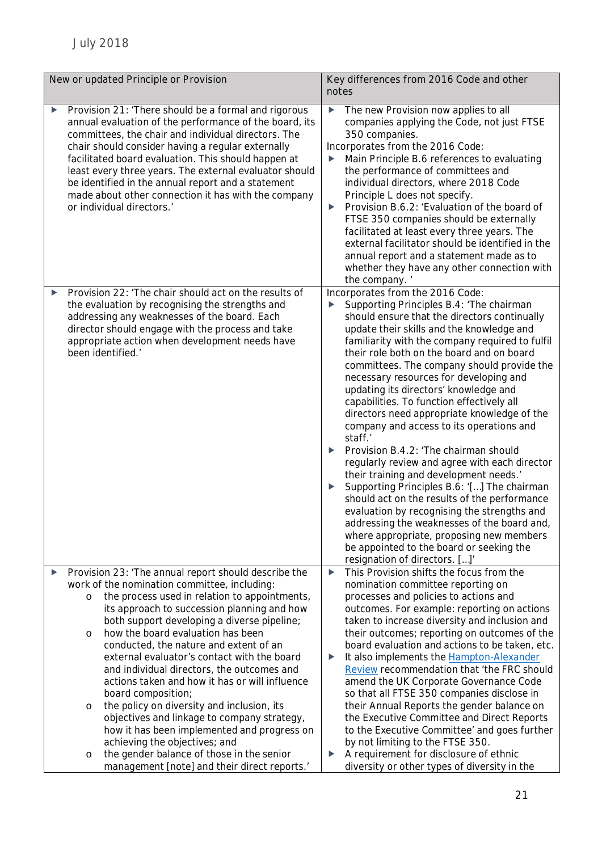| New or updated Principle or Provision                                                                                                                                                                                                                                                                                                                                                                                                                                                                                                                                                                                                                                                                                                                                                                                              | Key differences from 2016 Code and other<br>notes                                                                                                                                                                                                                                                                                                                                                                                                                                                                                                                                                                                                                                                                                                                                                                                                                                                                                                                                                                       |  |
|------------------------------------------------------------------------------------------------------------------------------------------------------------------------------------------------------------------------------------------------------------------------------------------------------------------------------------------------------------------------------------------------------------------------------------------------------------------------------------------------------------------------------------------------------------------------------------------------------------------------------------------------------------------------------------------------------------------------------------------------------------------------------------------------------------------------------------|-------------------------------------------------------------------------------------------------------------------------------------------------------------------------------------------------------------------------------------------------------------------------------------------------------------------------------------------------------------------------------------------------------------------------------------------------------------------------------------------------------------------------------------------------------------------------------------------------------------------------------------------------------------------------------------------------------------------------------------------------------------------------------------------------------------------------------------------------------------------------------------------------------------------------------------------------------------------------------------------------------------------------|--|
| Provision 21: 'There should be a formal and rigorous<br>▶<br>annual evaluation of the performance of the board, its<br>committees, the chair and individual directors. The<br>chair should consider having a regular externally<br>facilitated board evaluation. This should happen at<br>least every three years. The external evaluator should<br>be identified in the annual report and a statement<br>made about other connection it has with the company<br>or individual directors.'                                                                                                                                                                                                                                                                                                                                         | The new Provision now applies to all<br>▶<br>companies applying the Code, not just FTSE<br>350 companies.<br>Incorporates from the 2016 Code:<br>Main Principle B.6 references to evaluating<br>the performance of committees and<br>individual directors, where 2018 Code<br>Principle L does not specify.<br>Provision B.6.2: 'Evaluation of the board of<br>FTSE 350 companies should be externally<br>facilitated at least every three years. The<br>external facilitator should be identified in the<br>annual report and a statement made as to<br>whether they have any other connection with<br>the company.'                                                                                                                                                                                                                                                                                                                                                                                                   |  |
| Provision 22: 'The chair should act on the results of<br>▶<br>the evaluation by recognising the strengths and<br>addressing any weaknesses of the board. Each<br>director should engage with the process and take<br>appropriate action when development needs have<br>been identified.'                                                                                                                                                                                                                                                                                                                                                                                                                                                                                                                                           | Incorporates from the 2016 Code:<br>Supporting Principles B.4: 'The chairman<br>should ensure that the directors continually<br>update their skills and the knowledge and<br>familiarity with the company required to fulfil<br>their role both on the board and on board<br>committees. The company should provide the<br>necessary resources for developing and<br>updating its directors' knowledge and<br>capabilities. To function effectively all<br>directors need appropriate knowledge of the<br>company and access to its operations and<br>staff.'<br>Provision B.4.2: 'The chairman should<br>regularly review and agree with each director<br>their training and development needs.'<br>Supporting Principles B.6: '[] The chairman<br>should act on the results of the performance<br>evaluation by recognising the strengths and<br>addressing the weaknesses of the board and,<br>where appropriate, proposing new members<br>be appointed to the board or seeking the<br>resignation of directors. []' |  |
| Provision 23: 'The annual report should describe the<br>▶<br>work of the nomination committee, including:<br>the process used in relation to appointments,<br>$\circ$<br>its approach to succession planning and how<br>both support developing a diverse pipeline;<br>how the board evaluation has been<br>$\circ$<br>conducted, the nature and extent of an<br>external evaluator's contact with the board<br>and individual directors, the outcomes and<br>actions taken and how it has or will influence<br>board composition;<br>the policy on diversity and inclusion, its<br>$\circ$<br>objectives and linkage to company strategy,<br>how it has been implemented and progress on<br>achieving the objectives; and<br>the gender balance of those in the senior<br>$\circ$<br>management [note] and their direct reports.' | This Provision shifts the focus from the<br>▶<br>nomination committee reporting on<br>processes and policies to actions and<br>outcomes. For example: reporting on actions<br>taken to increase diversity and inclusion and<br>their outcomes; reporting on outcomes of the<br>board evaluation and actions to be taken, etc.<br>It also implements the <b>Hampton-Alexander</b><br>Review recommendation that 'the FRC should<br>amend the UK Corporate Governance Code<br>so that all FTSE 350 companies disclose in<br>their Annual Reports the gender balance on<br>the Executive Committee and Direct Reports<br>to the Executive Committee' and goes further<br>by not limiting to the FTSE 350.<br>A requirement for disclosure of ethnic<br>diversity or other types of diversity in the                                                                                                                                                                                                                        |  |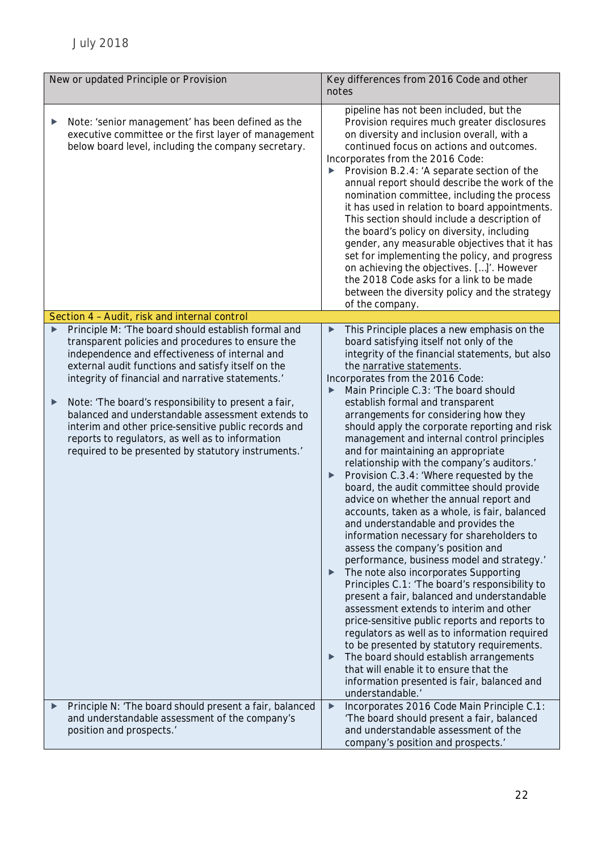| New or updated Principle or Provision |                                                                                                                                                                                                                                                                                                                                                                                                                                                                                                                                                       | Key differences from 2016 Code and other<br>notes                                                                                                                                                                                                                                                                                                                                                                                                                                                                                                                                                                                                                                                                                                                                                                                                                                                                                                                                                                                                                                                                                                                                                                                                                                                                                                                  |  |  |
|---------------------------------------|-------------------------------------------------------------------------------------------------------------------------------------------------------------------------------------------------------------------------------------------------------------------------------------------------------------------------------------------------------------------------------------------------------------------------------------------------------------------------------------------------------------------------------------------------------|--------------------------------------------------------------------------------------------------------------------------------------------------------------------------------------------------------------------------------------------------------------------------------------------------------------------------------------------------------------------------------------------------------------------------------------------------------------------------------------------------------------------------------------------------------------------------------------------------------------------------------------------------------------------------------------------------------------------------------------------------------------------------------------------------------------------------------------------------------------------------------------------------------------------------------------------------------------------------------------------------------------------------------------------------------------------------------------------------------------------------------------------------------------------------------------------------------------------------------------------------------------------------------------------------------------------------------------------------------------------|--|--|
| ▶                                     | Note: 'senior management' has been defined as the<br>executive committee or the first layer of management<br>below board level, including the company secretary.                                                                                                                                                                                                                                                                                                                                                                                      | pipeline has not been included, but the<br>Provision requires much greater disclosures<br>on diversity and inclusion overall, with a<br>continued focus on actions and outcomes.<br>Incorporates from the 2016 Code:<br>Provision B.2.4: 'A separate section of the<br>annual report should describe the work of the<br>nomination committee, including the process<br>it has used in relation to board appointments.<br>This section should include a description of<br>the board's policy on diversity, including<br>gender, any measurable objectives that it has<br>set for implementing the policy, and progress<br>on achieving the objectives. []'. However<br>the 2018 Code asks for a link to be made<br>between the diversity policy and the strategy<br>of the company.                                                                                                                                                                                                                                                                                                                                                                                                                                                                                                                                                                                 |  |  |
|                                       | Section 4 - Audit, risk and internal control                                                                                                                                                                                                                                                                                                                                                                                                                                                                                                          |                                                                                                                                                                                                                                                                                                                                                                                                                                                                                                                                                                                                                                                                                                                                                                                                                                                                                                                                                                                                                                                                                                                                                                                                                                                                                                                                                                    |  |  |
| ▶<br>▶                                | Principle M: 'The board should establish formal and<br>transparent policies and procedures to ensure the<br>independence and effectiveness of internal and<br>external audit functions and satisfy itself on the<br>integrity of financial and narrative statements.'<br>Note: 'The board's responsibility to present a fair,<br>balanced and understandable assessment extends to<br>interim and other price-sensitive public records and<br>reports to regulators, as well as to information<br>required to be presented by statutory instruments.' | This Principle places a new emphasis on the<br>board satisfying itself not only of the<br>integrity of the financial statements, but also<br>the narrative statements.<br>Incorporates from the 2016 Code:<br>Main Principle C.3: 'The board should<br>establish formal and transparent<br>arrangements for considering how they<br>should apply the corporate reporting and risk<br>management and internal control principles<br>and for maintaining an appropriate<br>relationship with the company's auditors.'<br>Provision C.3.4: 'Where requested by the<br>board, the audit committee should provide<br>advice on whether the annual report and<br>accounts, taken as a whole, is fair, balanced<br>and understandable and provides the<br>information necessary for shareholders to<br>assess the company's position and<br>performance, business model and strategy.'<br>The note also incorporates Supporting<br>▶<br>Principles C.1: 'The board's responsibility to<br>present a fair, balanced and understandable<br>assessment extends to interim and other<br>price-sensitive public reports and reports to<br>regulators as well as to information required<br>to be presented by statutory requirements.<br>The board should establish arrangements<br>▶<br>that will enable it to ensure that the<br>information presented is fair, balanced and |  |  |
| ▶                                     | Principle N: 'The board should present a fair, balanced                                                                                                                                                                                                                                                                                                                                                                                                                                                                                               | understandable.'<br>Incorporates 2016 Code Main Principle C.1:<br>▶                                                                                                                                                                                                                                                                                                                                                                                                                                                                                                                                                                                                                                                                                                                                                                                                                                                                                                                                                                                                                                                                                                                                                                                                                                                                                                |  |  |
|                                       | and understandable assessment of the company's<br>position and prospects.'                                                                                                                                                                                                                                                                                                                                                                                                                                                                            | 'The board should present a fair, balanced<br>and understandable assessment of the<br>company's position and prospects.'                                                                                                                                                                                                                                                                                                                                                                                                                                                                                                                                                                                                                                                                                                                                                                                                                                                                                                                                                                                                                                                                                                                                                                                                                                           |  |  |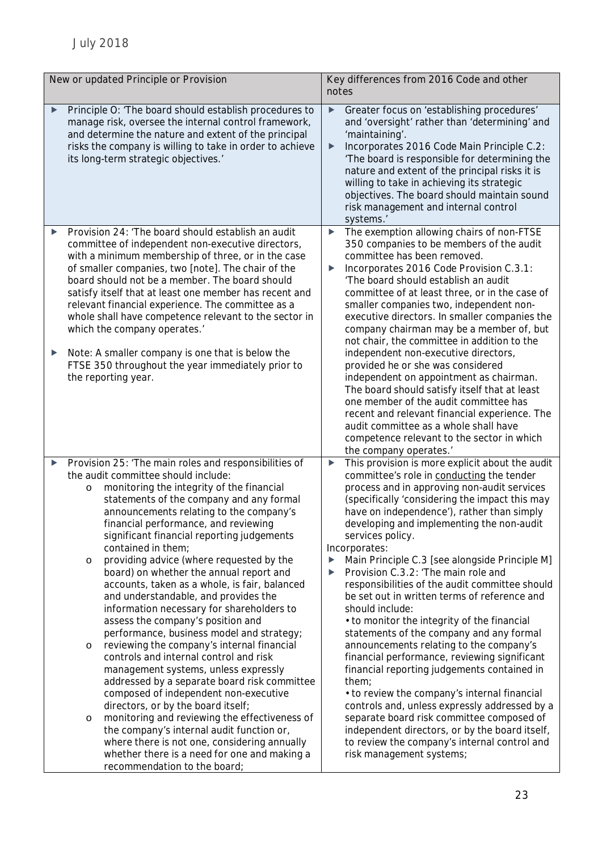| New or updated Principle or Provision |                                                                                                                                                                                                                                                                                                                                                                                                                                                                                                                                                                                                                                                                                                                                                                                                                                                                                                                                                                                                                                                                                                                                                                                    | Key differences from 2016 Code and other<br>notes                                                                                                                                                                                                                                                                                                                                                                                                                                                                                                                                                                                                                                                                                                                                                                                                                                                                                                                                                                                                                                    |  |
|---------------------------------------|------------------------------------------------------------------------------------------------------------------------------------------------------------------------------------------------------------------------------------------------------------------------------------------------------------------------------------------------------------------------------------------------------------------------------------------------------------------------------------------------------------------------------------------------------------------------------------------------------------------------------------------------------------------------------------------------------------------------------------------------------------------------------------------------------------------------------------------------------------------------------------------------------------------------------------------------------------------------------------------------------------------------------------------------------------------------------------------------------------------------------------------------------------------------------------|--------------------------------------------------------------------------------------------------------------------------------------------------------------------------------------------------------------------------------------------------------------------------------------------------------------------------------------------------------------------------------------------------------------------------------------------------------------------------------------------------------------------------------------------------------------------------------------------------------------------------------------------------------------------------------------------------------------------------------------------------------------------------------------------------------------------------------------------------------------------------------------------------------------------------------------------------------------------------------------------------------------------------------------------------------------------------------------|--|
|                                       | Principle O: 'The board should establish procedures to<br>manage risk, oversee the internal control framework,<br>and determine the nature and extent of the principal<br>risks the company is willing to take in order to achieve<br>its long-term strategic objectives.'                                                                                                                                                                                                                                                                                                                                                                                                                                                                                                                                                                                                                                                                                                                                                                                                                                                                                                         | Greater focus on 'establishing procedures'<br>▶<br>and 'oversight' rather than 'determining' and<br>'maintaining'.<br>Incorporates 2016 Code Main Principle C.2:<br>$\blacktriangleright$<br>'The board is responsible for determining the<br>nature and extent of the principal risks it is<br>willing to take in achieving its strategic<br>objectives. The board should maintain sound<br>risk management and internal control<br>systems.'                                                                                                                                                                                                                                                                                                                                                                                                                                                                                                                                                                                                                                       |  |
| ▶<br>▶                                | Provision 24: 'The board should establish an audit<br>committee of independent non-executive directors,<br>with a minimum membership of three, or in the case<br>of smaller companies, two [note]. The chair of the<br>board should not be a member. The board should<br>satisfy itself that at least one member has recent and<br>relevant financial experience. The committee as a<br>whole shall have competence relevant to the sector in<br>which the company operates.'<br>Note: A smaller company is one that is below the                                                                                                                                                                                                                                                                                                                                                                                                                                                                                                                                                                                                                                                  | The exemption allowing chairs of non-FTSE<br>▶<br>350 companies to be members of the audit<br>committee has been removed.<br>Incorporates 2016 Code Provision C.3.1:<br>▶<br>'The board should establish an audit<br>committee of at least three, or in the case of<br>smaller companies two, independent non-<br>executive directors. In smaller companies the<br>company chairman may be a member of, but<br>not chair, the committee in addition to the<br>independent non-executive directors,                                                                                                                                                                                                                                                                                                                                                                                                                                                                                                                                                                                   |  |
|                                       | FTSE 350 throughout the year immediately prior to<br>the reporting year.                                                                                                                                                                                                                                                                                                                                                                                                                                                                                                                                                                                                                                                                                                                                                                                                                                                                                                                                                                                                                                                                                                           | provided he or she was considered<br>independent on appointment as chairman.<br>The board should satisfy itself that at least<br>one member of the audit committee has<br>recent and relevant financial experience. The<br>audit committee as a whole shall have<br>competence relevant to the sector in which<br>the company operates.'                                                                                                                                                                                                                                                                                                                                                                                                                                                                                                                                                                                                                                                                                                                                             |  |
| ▶                                     | Provision 25: 'The main roles and responsibilities of<br>the audit committee should include:<br>monitoring the integrity of the financial<br>O<br>statements of the company and any formal<br>announcements relating to the company's<br>financial performance, and reviewing<br>significant financial reporting judgements<br>contained in them;<br>providing advice (where requested by the<br>O<br>board) on whether the annual report and<br>accounts, taken as a whole, is fair, balanced<br>and understandable, and provides the<br>information necessary for shareholders to<br>assess the company's position and<br>performance, business model and strategy;<br>reviewing the company's internal financial<br>O<br>controls and internal control and risk<br>management systems, unless expressly<br>addressed by a separate board risk committee<br>composed of independent non-executive<br>directors, or by the board itself;<br>monitoring and reviewing the effectiveness of<br>$\circ$<br>the company's internal audit function or,<br>where there is not one, considering annually<br>whether there is a need for one and making a<br>recommendation to the board; | This provision is more explicit about the audit<br>▶<br>committee's role in conducting the tender<br>process and in approving non-audit services<br>(specifically 'considering the impact this may<br>have on independence'), rather than simply<br>developing and implementing the non-audit<br>services policy.<br>Incorporates:<br>Main Principle C.3 [see alongside Principle M]<br>▶<br>Provision C.3.2: 'The main role and<br>▶<br>responsibilities of the audit committee should<br>be set out in written terms of reference and<br>should include:<br>• to monitor the integrity of the financial<br>statements of the company and any formal<br>announcements relating to the company's<br>financial performance, reviewing significant<br>financial reporting judgements contained in<br>them;<br>• to review the company's internal financial<br>controls and, unless expressly addressed by a<br>separate board risk committee composed of<br>independent directors, or by the board itself,<br>to review the company's internal control and<br>risk management systems; |  |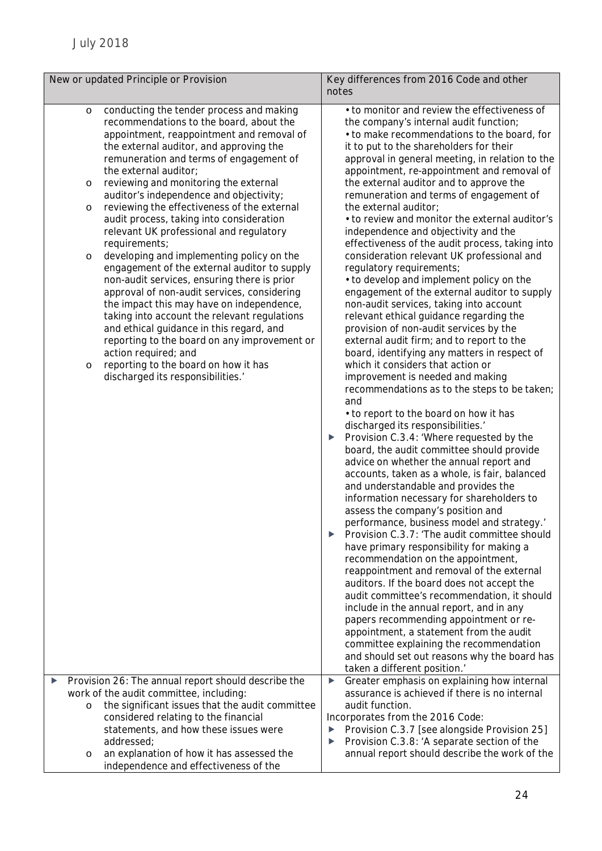| New or updated Principle or Provision                                                                                                                                                                                                                                                                                                                                                                                                                                                                                                                                                                                                                                                                                                                                                                                                                                                                                                                                                                                                      | Key differences from 2016 Code and other                                                                                                                                                                                                                                                                                                                                                                                                                                                                                                                                                                                                                                                                                                                                                                                                                                                                                                                                                                                                                                                                                                                                                                                                                                                                                                                                                                                                                                                                                                                                                                                                                                                                                                                                                                                                                                                                                                                                                                                                                                      |  |
|--------------------------------------------------------------------------------------------------------------------------------------------------------------------------------------------------------------------------------------------------------------------------------------------------------------------------------------------------------------------------------------------------------------------------------------------------------------------------------------------------------------------------------------------------------------------------------------------------------------------------------------------------------------------------------------------------------------------------------------------------------------------------------------------------------------------------------------------------------------------------------------------------------------------------------------------------------------------------------------------------------------------------------------------|-------------------------------------------------------------------------------------------------------------------------------------------------------------------------------------------------------------------------------------------------------------------------------------------------------------------------------------------------------------------------------------------------------------------------------------------------------------------------------------------------------------------------------------------------------------------------------------------------------------------------------------------------------------------------------------------------------------------------------------------------------------------------------------------------------------------------------------------------------------------------------------------------------------------------------------------------------------------------------------------------------------------------------------------------------------------------------------------------------------------------------------------------------------------------------------------------------------------------------------------------------------------------------------------------------------------------------------------------------------------------------------------------------------------------------------------------------------------------------------------------------------------------------------------------------------------------------------------------------------------------------------------------------------------------------------------------------------------------------------------------------------------------------------------------------------------------------------------------------------------------------------------------------------------------------------------------------------------------------------------------------------------------------------------------------------------------------|--|
|                                                                                                                                                                                                                                                                                                                                                                                                                                                                                                                                                                                                                                                                                                                                                                                                                                                                                                                                                                                                                                            | notes                                                                                                                                                                                                                                                                                                                                                                                                                                                                                                                                                                                                                                                                                                                                                                                                                                                                                                                                                                                                                                                                                                                                                                                                                                                                                                                                                                                                                                                                                                                                                                                                                                                                                                                                                                                                                                                                                                                                                                                                                                                                         |  |
| conducting the tender process and making<br>$\circ$<br>recommendations to the board, about the<br>appointment, reappointment and removal of<br>the external auditor, and approving the<br>remuneration and terms of engagement of<br>the external auditor;<br>reviewing and monitoring the external<br>$\circ$<br>auditor's independence and objectivity;<br>reviewing the effectiveness of the external<br>$\circ$<br>audit process, taking into consideration<br>relevant UK professional and regulatory<br>requirements;<br>developing and implementing policy on the<br>$\circ$<br>engagement of the external auditor to supply<br>non-audit services, ensuring there is prior<br>approval of non-audit services, considering<br>the impact this may have on independence,<br>taking into account the relevant regulations<br>and ethical guidance in this regard, and<br>reporting to the board on any improvement or<br>action required; and<br>reporting to the board on how it has<br>$\circ$<br>discharged its responsibilities.' | • to monitor and review the effectiveness of<br>the company's internal audit function;<br>• to make recommendations to the board, for<br>it to put to the shareholders for their<br>approval in general meeting, in relation to the<br>appointment, re-appointment and removal of<br>the external auditor and to approve the<br>remuneration and terms of engagement of<br>the external auditor;<br>• to review and monitor the external auditor's<br>independence and objectivity and the<br>effectiveness of the audit process, taking into<br>consideration relevant UK professional and<br>regulatory requirements;<br>• to develop and implement policy on the<br>engagement of the external auditor to supply<br>non-audit services, taking into account<br>relevant ethical guidance regarding the<br>provision of non-audit services by the<br>external audit firm; and to report to the<br>board, identifying any matters in respect of<br>which it considers that action or<br>improvement is needed and making<br>recommendations as to the steps to be taken;<br>and<br>• to report to the board on how it has<br>discharged its responsibilities.'<br>Provision C.3.4: 'Where requested by the<br>▶<br>board, the audit committee should provide<br>advice on whether the annual report and<br>accounts, taken as a whole, is fair, balanced<br>and understandable and provides the<br>information necessary for shareholders to<br>assess the company's position and<br>performance, business model and strategy.'<br>Provision C.3.7: 'The audit committee should<br>▶<br>have primary responsibility for making a<br>recommendation on the appointment,<br>reappointment and removal of the external<br>auditors. If the board does not accept the<br>audit committee's recommendation, it should<br>include in the annual report, and in any<br>papers recommending appointment or re-<br>appointment, a statement from the audit<br>committee explaining the recommendation<br>and should set out reasons why the board has<br>taken a different position.' |  |
| Provision 26: The annual report should describe the<br>▶<br>work of the audit committee, including:<br>the significant issues that the audit committee<br>$\circ$                                                                                                                                                                                                                                                                                                                                                                                                                                                                                                                                                                                                                                                                                                                                                                                                                                                                          | Greater emphasis on explaining how internal<br>▶<br>assurance is achieved if there is no internal<br>audit function.                                                                                                                                                                                                                                                                                                                                                                                                                                                                                                                                                                                                                                                                                                                                                                                                                                                                                                                                                                                                                                                                                                                                                                                                                                                                                                                                                                                                                                                                                                                                                                                                                                                                                                                                                                                                                                                                                                                                                          |  |
| considered relating to the financial<br>statements, and how these issues were                                                                                                                                                                                                                                                                                                                                                                                                                                                                                                                                                                                                                                                                                                                                                                                                                                                                                                                                                              | Incorporates from the 2016 Code:<br>Provision C.3.7 [see alongside Provision 25]<br>▶                                                                                                                                                                                                                                                                                                                                                                                                                                                                                                                                                                                                                                                                                                                                                                                                                                                                                                                                                                                                                                                                                                                                                                                                                                                                                                                                                                                                                                                                                                                                                                                                                                                                                                                                                                                                                                                                                                                                                                                         |  |
| addressed;<br>an explanation of how it has assessed the<br>$\circ$<br>independence and effectiveness of the                                                                                                                                                                                                                                                                                                                                                                                                                                                                                                                                                                                                                                                                                                                                                                                                                                                                                                                                | Provision C.3.8: 'A separate section of the<br>▶<br>annual report should describe the work of the                                                                                                                                                                                                                                                                                                                                                                                                                                                                                                                                                                                                                                                                                                                                                                                                                                                                                                                                                                                                                                                                                                                                                                                                                                                                                                                                                                                                                                                                                                                                                                                                                                                                                                                                                                                                                                                                                                                                                                             |  |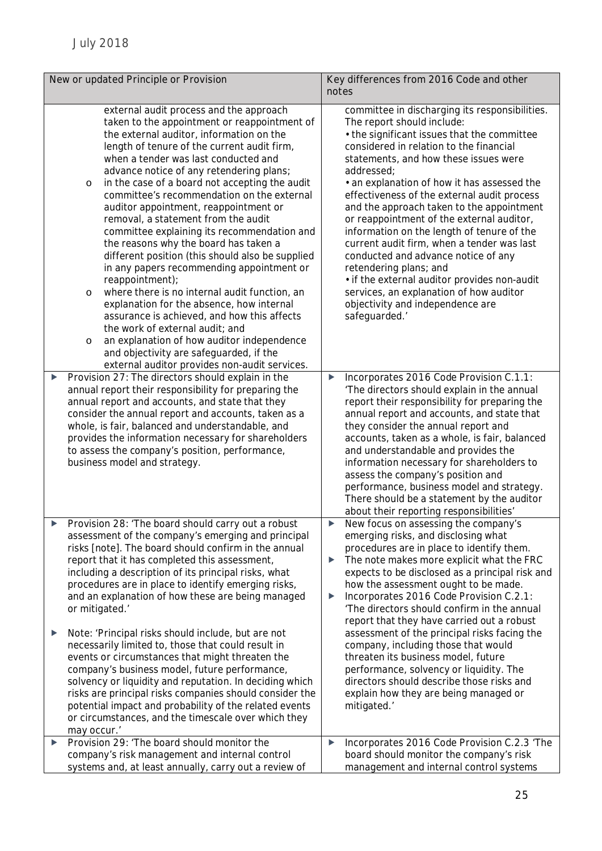| New or updated Principle or Provision |                                                                                                                                                                                                                                                                                                                                                                                                                                                                                                                                                                                                                                                                                                                                                                                                                                                                                                                                                                                                                               | Key differences from 2016 Code and other<br>notes                                                                                                                                                                                                                                                                                                                                                                                                                                                                                                                                                                                                                                                                                  |  |
|---------------------------------------|-------------------------------------------------------------------------------------------------------------------------------------------------------------------------------------------------------------------------------------------------------------------------------------------------------------------------------------------------------------------------------------------------------------------------------------------------------------------------------------------------------------------------------------------------------------------------------------------------------------------------------------------------------------------------------------------------------------------------------------------------------------------------------------------------------------------------------------------------------------------------------------------------------------------------------------------------------------------------------------------------------------------------------|------------------------------------------------------------------------------------------------------------------------------------------------------------------------------------------------------------------------------------------------------------------------------------------------------------------------------------------------------------------------------------------------------------------------------------------------------------------------------------------------------------------------------------------------------------------------------------------------------------------------------------------------------------------------------------------------------------------------------------|--|
|                                       | external audit process and the approach<br>taken to the appointment or reappointment of<br>the external auditor, information on the<br>length of tenure of the current audit firm,<br>when a tender was last conducted and<br>advance notice of any retendering plans;<br>in the case of a board not accepting the audit<br>$\circ$<br>committee's recommendation on the external<br>auditor appointment, reappointment or<br>removal, a statement from the audit<br>committee explaining its recommendation and<br>the reasons why the board has taken a<br>different position (this should also be supplied<br>in any papers recommending appointment or<br>reappointment);<br>where there is no internal audit function, an<br>$\circ$<br>explanation for the absence, how internal<br>assurance is achieved, and how this affects<br>the work of external audit; and<br>an explanation of how auditor independence<br>$\circ$<br>and objectivity are safeguarded, if the<br>external auditor provides non-audit services. | committee in discharging its responsibilities.<br>The report should include:<br>• the significant issues that the committee<br>considered in relation to the financial<br>statements, and how these issues were<br>addressed;<br>• an explanation of how it has assessed the<br>effectiveness of the external audit process<br>and the approach taken to the appointment<br>or reappointment of the external auditor,<br>information on the length of tenure of the<br>current audit firm, when a tender was last<br>conducted and advance notice of any<br>retendering plans; and<br>· if the external auditor provides non-audit<br>services, an explanation of how auditor<br>objectivity and independence are<br>safeguarded.' |  |
|                                       | Provision 27: The directors should explain in the<br>annual report their responsibility for preparing the<br>annual report and accounts, and state that they<br>consider the annual report and accounts, taken as a<br>whole, is fair, balanced and understandable, and<br>provides the information necessary for shareholders<br>to assess the company's position, performance,<br>business model and strategy.                                                                                                                                                                                                                                                                                                                                                                                                                                                                                                                                                                                                              | Incorporates 2016 Code Provision C.1.1:<br>▶<br>'The directors should explain in the annual<br>report their responsibility for preparing the<br>annual report and accounts, and state that<br>they consider the annual report and<br>accounts, taken as a whole, is fair, balanced<br>and understandable and provides the<br>information necessary for shareholders to<br>assess the company's position and<br>performance, business model and strategy.<br>There should be a statement by the auditor<br>about their reporting responsibilities'                                                                                                                                                                                  |  |
|                                       | Provision 28: 'The board should carry out a robust<br>assessment of the company's emerging and principal<br>risks [note]. The board should confirm in the annual<br>report that it has completed this assessment,<br>including a description of its principal risks, what<br>procedures are in place to identify emerging risks,<br>and an explanation of how these are being managed<br>or mitigated.'                                                                                                                                                                                                                                                                                                                                                                                                                                                                                                                                                                                                                       | New focus on assessing the company's<br>emerging risks, and disclosing what<br>procedures are in place to identify them.<br>The note makes more explicit what the FRC<br>▶<br>expects to be disclosed as a principal risk and<br>how the assessment ought to be made.<br>Incorporates 2016 Code Provision C.2.1:<br>▶<br>'The directors should confirm in the annual<br>report that they have carried out a robust                                                                                                                                                                                                                                                                                                                 |  |
| ▶                                     | Note: 'Principal risks should include, but are not<br>necessarily limited to, those that could result in<br>events or circumstances that might threaten the<br>company's business model, future performance,<br>solvency or liquidity and reputation. In deciding which<br>risks are principal risks companies should consider the<br>potential impact and probability of the related events<br>or circumstances, and the timescale over which they<br>may occur.'                                                                                                                                                                                                                                                                                                                                                                                                                                                                                                                                                            | assessment of the principal risks facing the<br>company, including those that would<br>threaten its business model, future<br>performance, solvency or liquidity. The<br>directors should describe those risks and<br>explain how they are being managed or<br>mitigated.'                                                                                                                                                                                                                                                                                                                                                                                                                                                         |  |
| ▶                                     | Provision 29: 'The board should monitor the<br>company's risk management and internal control<br>systems and, at least annually, carry out a review of                                                                                                                                                                                                                                                                                                                                                                                                                                                                                                                                                                                                                                                                                                                                                                                                                                                                        | Incorporates 2016 Code Provision C.2.3 'The<br>▶<br>board should monitor the company's risk<br>management and internal control systems                                                                                                                                                                                                                                                                                                                                                                                                                                                                                                                                                                                             |  |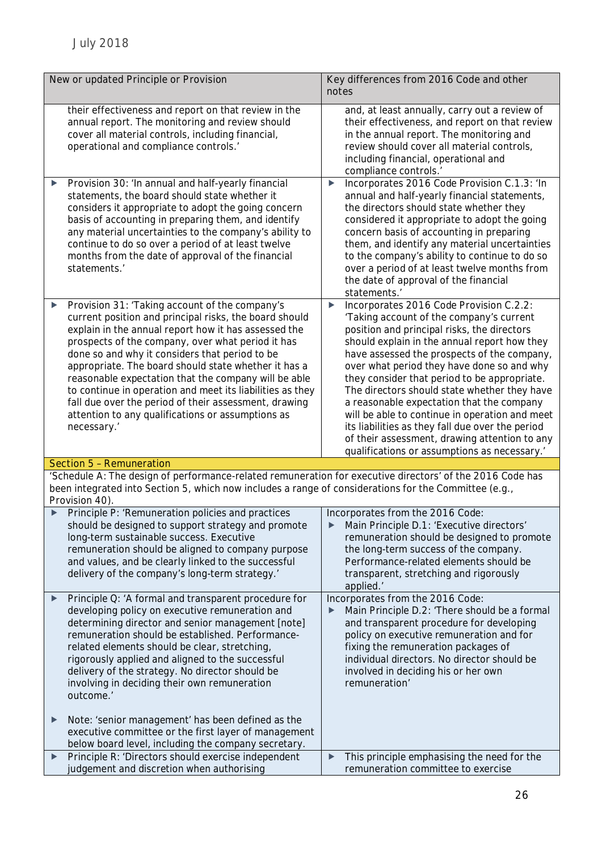| New or updated Principle or Provision                                                                                                                                                                                                                                                                                                                                                                                                                                                                                                                                                  | Key differences from 2016 Code and other<br>notes                                                                                                                                                                                                                                                                                                                                                                                                                                                                                                                                                                                        |  |
|----------------------------------------------------------------------------------------------------------------------------------------------------------------------------------------------------------------------------------------------------------------------------------------------------------------------------------------------------------------------------------------------------------------------------------------------------------------------------------------------------------------------------------------------------------------------------------------|------------------------------------------------------------------------------------------------------------------------------------------------------------------------------------------------------------------------------------------------------------------------------------------------------------------------------------------------------------------------------------------------------------------------------------------------------------------------------------------------------------------------------------------------------------------------------------------------------------------------------------------|--|
| their effectiveness and report on that review in the<br>annual report. The monitoring and review should<br>cover all material controls, including financial,<br>operational and compliance controls.'                                                                                                                                                                                                                                                                                                                                                                                  | and, at least annually, carry out a review of<br>their effectiveness, and report on that review<br>in the annual report. The monitoring and<br>review should cover all material controls,<br>including financial, operational and<br>compliance controls.'                                                                                                                                                                                                                                                                                                                                                                               |  |
| Provision 30: 'In annual and half-yearly financial<br>statements, the board should state whether it<br>considers it appropriate to adopt the going concern<br>basis of accounting in preparing them, and identify<br>any material uncertainties to the company's ability to<br>continue to do so over a period of at least twelve<br>months from the date of approval of the financial<br>statements.'                                                                                                                                                                                 | Incorporates 2016 Code Provision C.1.3: 'In<br>$\blacktriangleright$<br>annual and half-yearly financial statements,<br>the directors should state whether they<br>considered it appropriate to adopt the going<br>concern basis of accounting in preparing<br>them, and identify any material uncertainties<br>to the company's ability to continue to do so<br>over a period of at least twelve months from<br>the date of approval of the financial<br>statements.'                                                                                                                                                                   |  |
| Provision 31: 'Taking account of the company's<br>▶<br>current position and principal risks, the board should<br>explain in the annual report how it has assessed the<br>prospects of the company, over what period it has<br>done so and why it considers that period to be<br>appropriate. The board should state whether it has a<br>reasonable expectation that the company will be able<br>to continue in operation and meet its liabilities as they<br>fall due over the period of their assessment, drawing<br>attention to any qualifications or assumptions as<br>necessary.' | Incorporates 2016 Code Provision C.2.2:<br>▶<br>'Taking account of the company's current<br>position and principal risks, the directors<br>should explain in the annual report how they<br>have assessed the prospects of the company,<br>over what period they have done so and why<br>they consider that period to be appropriate.<br>The directors should state whether they have<br>a reasonable expectation that the company<br>will be able to continue in operation and meet<br>its liabilities as they fall due over the period<br>of their assessment, drawing attention to any<br>qualifications or assumptions as necessary.' |  |
| Section 5 - Remuneration                                                                                                                                                                                                                                                                                                                                                                                                                                                                                                                                                               |                                                                                                                                                                                                                                                                                                                                                                                                                                                                                                                                                                                                                                          |  |
| 'Schedule A: The design of performance-related remuneration for executive directors' of the 2016 Code has<br>been integrated into Section 5, which now includes a range of considerations for the Committee (e.g.,<br>Provision 40).                                                                                                                                                                                                                                                                                                                                                   |                                                                                                                                                                                                                                                                                                                                                                                                                                                                                                                                                                                                                                          |  |
| Principle P: 'Remuneration policies and practices<br>should be designed to support strategy and promote<br>long-term sustainable success. Executive<br>remuneration should be aligned to company purpose<br>and values, and be clearly linked to the successful<br>delivery of the company's long-term strategy.'                                                                                                                                                                                                                                                                      | Incorporates from the 2016 Code:<br>Main Principle D.1: 'Executive directors'<br>remuneration should be designed to promote<br>the long-term success of the company.<br>Performance-related elements should be<br>transparent, stretching and rigorously<br>applied.'                                                                                                                                                                                                                                                                                                                                                                    |  |
| Principle Q: 'A formal and transparent procedure for<br>▶<br>developing policy on executive remuneration and<br>determining director and senior management [note]<br>remuneration should be established. Performance-<br>related elements should be clear, stretching,<br>rigorously applied and aligned to the successful<br>delivery of the strategy. No director should be<br>involving in deciding their own remuneration<br>outcome.'                                                                                                                                             | Incorporates from the 2016 Code:<br>Main Principle D.2: 'There should be a formal<br>▶<br>and transparent procedure for developing<br>policy on executive remuneration and for<br>fixing the remuneration packages of<br>individual directors. No director should be<br>involved in deciding his or her own<br>remuneration'                                                                                                                                                                                                                                                                                                             |  |
| Note: 'senior management' has been defined as the<br>▶<br>executive committee or the first layer of management                                                                                                                                                                                                                                                                                                                                                                                                                                                                         |                                                                                                                                                                                                                                                                                                                                                                                                                                                                                                                                                                                                                                          |  |
| below board level, including the company secretary.<br>Principle R: 'Directors should exercise independent                                                                                                                                                                                                                                                                                                                                                                                                                                                                             | This principle emphasising the need for the<br>▶                                                                                                                                                                                                                                                                                                                                                                                                                                                                                                                                                                                         |  |
| ▶<br>judgement and discretion when authorising                                                                                                                                                                                                                                                                                                                                                                                                                                                                                                                                         | remuneration committee to exercise                                                                                                                                                                                                                                                                                                                                                                                                                                                                                                                                                                                                       |  |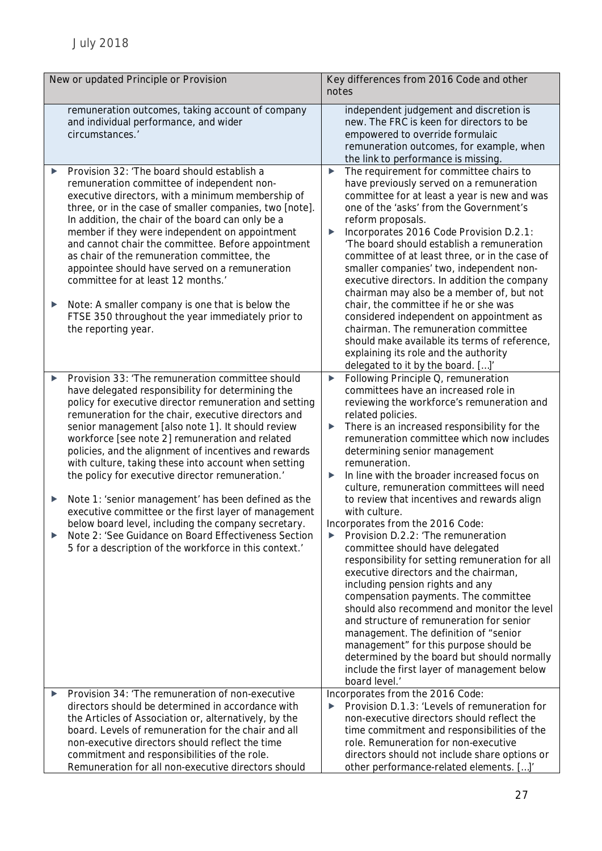| New or updated Principle or Provision |                                                                                                                                                                                                                                                                                                                                                                                                                                                                                                                                                                                                                                                                                                                                                                                             | Key differences from 2016 Code and other<br>notes |                                                                                                                                                                                                                                                                                                                                                                                                                                                                                                                                                                                                                                                                                                                                                                                                                                                                                                                                                                                                                                                                                   |
|---------------------------------------|---------------------------------------------------------------------------------------------------------------------------------------------------------------------------------------------------------------------------------------------------------------------------------------------------------------------------------------------------------------------------------------------------------------------------------------------------------------------------------------------------------------------------------------------------------------------------------------------------------------------------------------------------------------------------------------------------------------------------------------------------------------------------------------------|---------------------------------------------------|-----------------------------------------------------------------------------------------------------------------------------------------------------------------------------------------------------------------------------------------------------------------------------------------------------------------------------------------------------------------------------------------------------------------------------------------------------------------------------------------------------------------------------------------------------------------------------------------------------------------------------------------------------------------------------------------------------------------------------------------------------------------------------------------------------------------------------------------------------------------------------------------------------------------------------------------------------------------------------------------------------------------------------------------------------------------------------------|
|                                       | remuneration outcomes, taking account of company<br>and individual performance, and wider<br>circumstances.'                                                                                                                                                                                                                                                                                                                                                                                                                                                                                                                                                                                                                                                                                |                                                   | independent judgement and discretion is<br>new. The FRC is keen for directors to be<br>empowered to override formulaic<br>remuneration outcomes, for example, when<br>the link to performance is missing.                                                                                                                                                                                                                                                                                                                                                                                                                                                                                                                                                                                                                                                                                                                                                                                                                                                                         |
| ▶<br>▶                                | Provision 32: 'The board should establish a<br>remuneration committee of independent non-<br>executive directors, with a minimum membership of<br>three, or in the case of smaller companies, two [note].<br>In addition, the chair of the board can only be a<br>member if they were independent on appointment<br>and cannot chair the committee. Before appointment<br>as chair of the remuneration committee, the<br>appointee should have served on a remuneration<br>committee for at least 12 months.<br>Note: A smaller company is one that is below the<br>FTSE 350 throughout the year immediately prior to<br>the reporting year.                                                                                                                                                | ▶<br>▶                                            | The requirement for committee chairs to<br>have previously served on a remuneration<br>committee for at least a year is new and was<br>one of the 'asks' from the Government's<br>reform proposals.<br>Incorporates 2016 Code Provision D.2.1:<br>'The board should establish a remuneration<br>committee of at least three, or in the case of<br>smaller companies' two, independent non-<br>executive directors. In addition the company<br>chairman may also be a member of, but not<br>chair, the committee if he or she was<br>considered independent on appointment as<br>chairman. The remuneration committee<br>should make available its terms of reference,<br>explaining its role and the authority                                                                                                                                                                                                                                                                                                                                                                    |
| ▶<br>▶<br>▶                           | Provision 33: 'The remuneration committee should<br>have delegated responsibility for determining the<br>policy for executive director remuneration and setting<br>remuneration for the chair, executive directors and<br>senior management [also note 1]. It should review<br>workforce [see note 2] remuneration and related<br>policies, and the alignment of incentives and rewards<br>with culture, taking these into account when setting<br>the policy for executive director remuneration.'<br>Note 1: 'senior management' has been defined as the<br>executive committee or the first layer of management<br>below board level, including the company secretary.<br>Note 2: 'See Guidance on Board Effectiveness Section<br>5 for a description of the workforce in this context.' | ▶<br>▶<br>▶<br>▶                                  | delegated to it by the board. []'<br>Following Principle Q, remuneration<br>committees have an increased role in<br>reviewing the workforce's remuneration and<br>related policies.<br>There is an increased responsibility for the<br>remuneration committee which now includes<br>determining senior management<br>remuneration.<br>In line with the broader increased focus on<br>culture, remuneration committees will need<br>to review that incentives and rewards align<br>with culture.<br>Incorporates from the 2016 Code:<br>Provision D.2.2: 'The remuneration<br>committee should have delegated<br>responsibility for setting remuneration for all<br>executive directors and the chairman,<br>including pension rights and any<br>compensation payments. The committee<br>should also recommend and monitor the level<br>and structure of remuneration for senior<br>management. The definition of "senior<br>management" for this purpose should be<br>determined by the board but should normally<br>include the first layer of management below<br>board level.' |
| ▶                                     | Provision 34: 'The remuneration of non-executive<br>directors should be determined in accordance with<br>the Articles of Association or, alternatively, by the<br>board. Levels of remuneration for the chair and all<br>non-executive directors should reflect the time<br>commitment and responsibilities of the role.<br>Remuneration for all non-executive directors should                                                                                                                                                                                                                                                                                                                                                                                                             |                                                   | Incorporates from the 2016 Code:<br>Provision D.1.3: 'Levels of remuneration for<br>non-executive directors should reflect the<br>time commitment and responsibilities of the<br>role. Remuneration for non-executive<br>directors should not include share options or<br>other performance-related elements. []'                                                                                                                                                                                                                                                                                                                                                                                                                                                                                                                                                                                                                                                                                                                                                                 |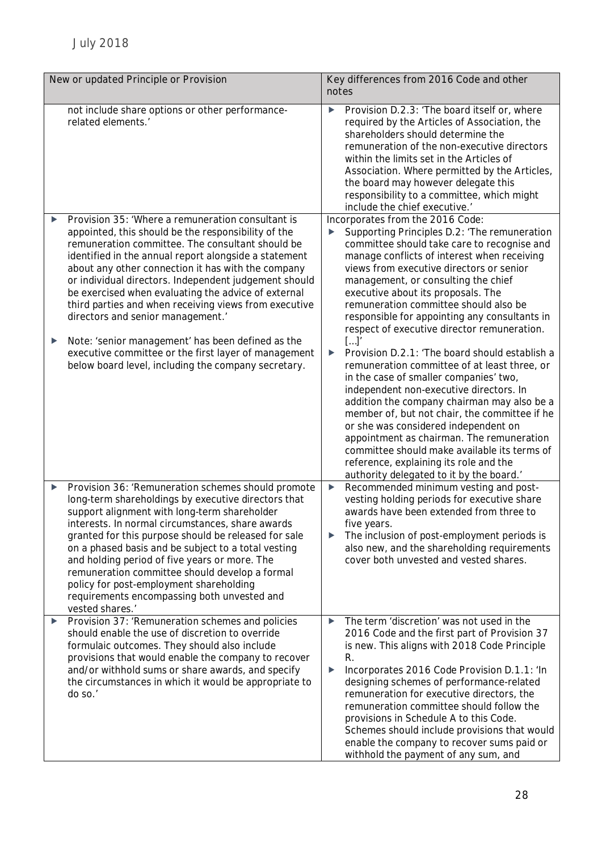| New or updated Principle or Provision |                                                                                                                                                                                                                                                                                                                                                                                                                                                                                                                                              | Key differences from 2016 Code and other<br>notes |                                                                                                                                                                                                                                                                                                                                                                                                                                                                                                                       |
|---------------------------------------|----------------------------------------------------------------------------------------------------------------------------------------------------------------------------------------------------------------------------------------------------------------------------------------------------------------------------------------------------------------------------------------------------------------------------------------------------------------------------------------------------------------------------------------------|---------------------------------------------------|-----------------------------------------------------------------------------------------------------------------------------------------------------------------------------------------------------------------------------------------------------------------------------------------------------------------------------------------------------------------------------------------------------------------------------------------------------------------------------------------------------------------------|
| ▶                                     | not include share options or other performance-<br>related elements.'<br>Provision 35: 'Where a remuneration consultant is                                                                                                                                                                                                                                                                                                                                                                                                                   | ▶                                                 | Provision D.2.3: 'The board itself or, where<br>required by the Articles of Association, the<br>shareholders should determine the<br>remuneration of the non-executive directors<br>within the limits set in the Articles of<br>Association. Where permitted by the Articles,<br>the board may however delegate this<br>responsibility to a committee, which might<br>include the chief executive.'<br>Incorporates from the 2016 Code:                                                                               |
|                                       | appointed, this should be the responsibility of the<br>remuneration committee. The consultant should be<br>identified in the annual report alongside a statement<br>about any other connection it has with the company<br>or individual directors. Independent judgement should<br>be exercised when evaluating the advice of external<br>third parties and when receiving views from executive<br>directors and senior management.                                                                                                          |                                                   | Supporting Principles D.2: 'The remuneration<br>committee should take care to recognise and<br>manage conflicts of interest when receiving<br>views from executive directors or senior<br>management, or consulting the chief<br>executive about its proposals. The<br>remuneration committee should also be<br>responsible for appointing any consultants in<br>respect of executive director remuneration.                                                                                                          |
| ▶                                     | Note: 'senior management' has been defined as the<br>executive committee or the first layer of management<br>below board level, including the company secretary.                                                                                                                                                                                                                                                                                                                                                                             | ▶                                                 | []'<br>Provision D.2.1: 'The board should establish a<br>remuneration committee of at least three, or<br>in the case of smaller companies' two,<br>independent non-executive directors. In<br>addition the company chairman may also be a<br>member of, but not chair, the committee if he<br>or she was considered independent on<br>appointment as chairman. The remuneration<br>committee should make available its terms of<br>reference, explaining its role and the<br>authority delegated to it by the board.' |
| ▶                                     | Provision 36: 'Remuneration schemes should promote<br>long-term shareholdings by executive directors that<br>support alignment with long-term shareholder<br>interests. In normal circumstances, share awards<br>granted for this purpose should be released for sale<br>on a phased basis and be subject to a total vesting<br>and holding period of five years or more. The<br>remuneration committee should develop a formal<br>policy for post-employment shareholding<br>requirements encompassing both unvested and<br>vested shares.' | $\blacktriangleright$<br>▶                        | Recommended minimum vesting and post-<br>vesting holding periods for executive share<br>awards have been extended from three to<br>five years.<br>The inclusion of post-employment periods is<br>also new, and the shareholding requirements<br>cover both unvested and vested shares.                                                                                                                                                                                                                                |
| ▶                                     | Provision 37: 'Remuneration schemes and policies<br>should enable the use of discretion to override<br>formulaic outcomes. They should also include<br>provisions that would enable the company to recover<br>and/or withhold sums or share awards, and specify<br>the circumstances in which it would be appropriate to<br>do so.'                                                                                                                                                                                                          | ▶<br>▶                                            | The term 'discretion' was not used in the<br>2016 Code and the first part of Provision 37<br>is new. This aligns with 2018 Code Principle<br>R.<br>Incorporates 2016 Code Provision D.1.1: 'In<br>designing schemes of performance-related<br>remuneration for executive directors, the<br>remuneration committee should follow the<br>provisions in Schedule A to this Code.<br>Schemes should include provisions that would<br>enable the company to recover sums paid or<br>withhold the payment of any sum, and   |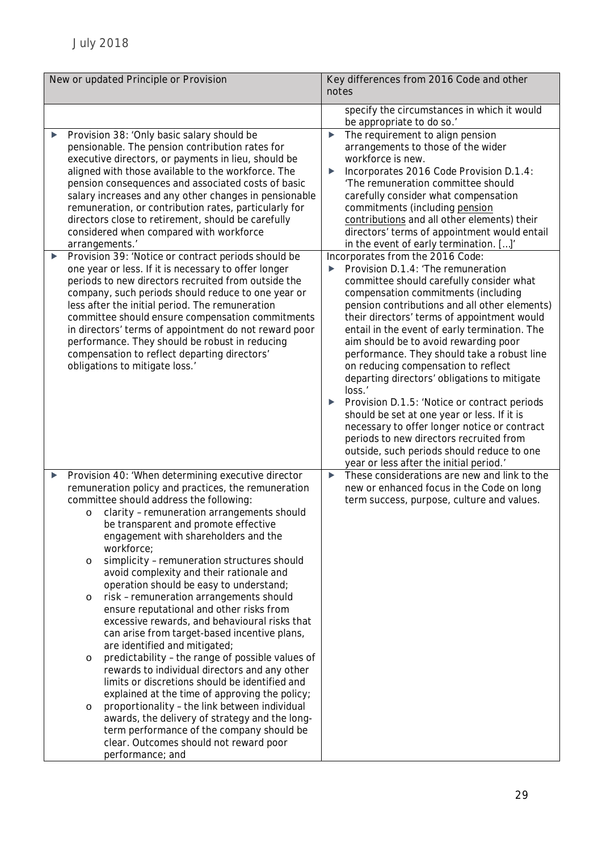| New or updated Principle or Provision |                                                                                                                                                                                                                                                                                                                                                                                                                                                                                                                                                                                                                                                                                                                                                                                                                                                                                                                                                                                                                                                                                                                                               | Key differences from 2016 Code and other<br>notes                                                                                                                                                                                                                                                                                                                                                                                                                                                                                                                                                                                                                                                                                                                                      |  |
|---------------------------------------|-----------------------------------------------------------------------------------------------------------------------------------------------------------------------------------------------------------------------------------------------------------------------------------------------------------------------------------------------------------------------------------------------------------------------------------------------------------------------------------------------------------------------------------------------------------------------------------------------------------------------------------------------------------------------------------------------------------------------------------------------------------------------------------------------------------------------------------------------------------------------------------------------------------------------------------------------------------------------------------------------------------------------------------------------------------------------------------------------------------------------------------------------|----------------------------------------------------------------------------------------------------------------------------------------------------------------------------------------------------------------------------------------------------------------------------------------------------------------------------------------------------------------------------------------------------------------------------------------------------------------------------------------------------------------------------------------------------------------------------------------------------------------------------------------------------------------------------------------------------------------------------------------------------------------------------------------|--|
|                                       |                                                                                                                                                                                                                                                                                                                                                                                                                                                                                                                                                                                                                                                                                                                                                                                                                                                                                                                                                                                                                                                                                                                                               | specify the circumstances in which it would<br>be appropriate to do so.'                                                                                                                                                                                                                                                                                                                                                                                                                                                                                                                                                                                                                                                                                                               |  |
| ▶                                     | Provision 38: 'Only basic salary should be<br>pensionable. The pension contribution rates for<br>executive directors, or payments in lieu, should be<br>aligned with those available to the workforce. The<br>pension consequences and associated costs of basic<br>salary increases and any other changes in pensionable<br>remuneration, or contribution rates, particularly for<br>directors close to retirement, should be carefully<br>considered when compared with workforce<br>arrangements.'                                                                                                                                                                                                                                                                                                                                                                                                                                                                                                                                                                                                                                         | The requirement to align pension<br>▶<br>arrangements to those of the wider<br>workforce is new.<br>Incorporates 2016 Code Provision D.1.4:<br>▶<br>'The remuneration committee should<br>carefully consider what compensation<br>commitments (including pension<br>contributions and all other elements) their<br>directors' terms of appointment would entail<br>in the event of early termination. []'                                                                                                                                                                                                                                                                                                                                                                              |  |
| ▶                                     | Provision 39: 'Notice or contract periods should be<br>one year or less. If it is necessary to offer longer<br>periods to new directors recruited from outside the<br>company, such periods should reduce to one year or<br>less after the initial period. The remuneration<br>committee should ensure compensation commitments<br>in directors' terms of appointment do not reward poor<br>performance. They should be robust in reducing<br>compensation to reflect departing directors'<br>obligations to mitigate loss.'                                                                                                                                                                                                                                                                                                                                                                                                                                                                                                                                                                                                                  | Incorporates from the 2016 Code:<br>Provision D.1.4: 'The remuneration<br>committee should carefully consider what<br>compensation commitments (including<br>pension contributions and all other elements)<br>their directors' terms of appointment would<br>entail in the event of early termination. The<br>aim should be to avoid rewarding poor<br>performance. They should take a robust line<br>on reducing compensation to reflect<br>departing directors' obligations to mitigate<br>loss.'<br>Provision D.1.5: 'Notice or contract periods<br>should be set at one year or less. If it is<br>necessary to offer longer notice or contract<br>periods to new directors recruited from<br>outside, such periods should reduce to one<br>year or less after the initial period.' |  |
| ▶                                     | Provision 40: 'When determining executive director<br>remuneration policy and practices, the remuneration<br>committee should address the following:<br>clarity - remuneration arrangements should<br>$\circ$<br>be transparent and promote effective<br>engagement with shareholders and the<br>workforce;<br>simplicity - remuneration structures should<br>$\circ$<br>avoid complexity and their rationale and<br>operation should be easy to understand;<br>risk - remuneration arrangements should<br>$\circ$<br>ensure reputational and other risks from<br>excessive rewards, and behavioural risks that<br>can arise from target-based incentive plans,<br>are identified and mitigated;<br>predictability - the range of possible values of<br>$\circ$<br>rewards to individual directors and any other<br>limits or discretions should be identified and<br>explained at the time of approving the policy;<br>proportionality - the link between individual<br>$\circ$<br>awards, the delivery of strategy and the long-<br>term performance of the company should be<br>clear. Outcomes should not reward poor<br>performance; and | These considerations are new and link to the<br>▶<br>new or enhanced focus in the Code on long<br>term success, purpose, culture and values.                                                                                                                                                                                                                                                                                                                                                                                                                                                                                                                                                                                                                                           |  |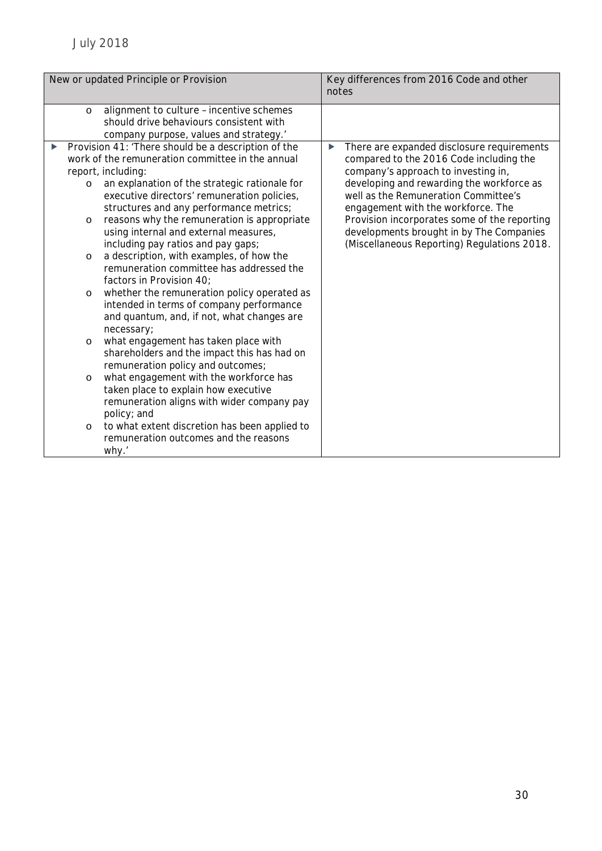| New or updated Principle or Provision                                                                                                 |                                                                                                                                                                                                                                                                                                                                                                                                                                                                                                                                                                                                                                                                                                                                                                                                                                                                                                                                                                                                     | notes | Key differences from 2016 Code and other                                                                                                                                                                                                                                                                                                                                                           |
|---------------------------------------------------------------------------------------------------------------------------------------|-----------------------------------------------------------------------------------------------------------------------------------------------------------------------------------------------------------------------------------------------------------------------------------------------------------------------------------------------------------------------------------------------------------------------------------------------------------------------------------------------------------------------------------------------------------------------------------------------------------------------------------------------------------------------------------------------------------------------------------------------------------------------------------------------------------------------------------------------------------------------------------------------------------------------------------------------------------------------------------------------------|-------|----------------------------------------------------------------------------------------------------------------------------------------------------------------------------------------------------------------------------------------------------------------------------------------------------------------------------------------------------------------------------------------------------|
| $\circ$                                                                                                                               | alignment to culture - incentive schemes<br>should drive behaviours consistent with<br>company purpose, values and strategy.'                                                                                                                                                                                                                                                                                                                                                                                                                                                                                                                                                                                                                                                                                                                                                                                                                                                                       |       |                                                                                                                                                                                                                                                                                                                                                                                                    |
| report, including:<br>$\circ$<br>$\circ$<br>$\circ$<br>$\circ$<br>necessary;<br>$\circ$<br>$\circ$<br>policy; and<br>$\circ$<br>why.' | Provision 41: 'There should be a description of the<br>work of the remuneration committee in the annual<br>an explanation of the strategic rationale for<br>executive directors' remuneration policies,<br>structures and any performance metrics;<br>reasons why the remuneration is appropriate<br>using internal and external measures,<br>including pay ratios and pay gaps;<br>a description, with examples, of how the<br>remuneration committee has addressed the<br>factors in Provision 40;<br>whether the remuneration policy operated as<br>intended in terms of company performance<br>and quantum, and, if not, what changes are<br>what engagement has taken place with<br>shareholders and the impact this has had on<br>remuneration policy and outcomes;<br>what engagement with the workforce has<br>taken place to explain how executive<br>remuneration aligns with wider company pay<br>to what extent discretion has been applied to<br>remuneration outcomes and the reasons | ▶     | There are expanded disclosure requirements<br>compared to the 2016 Code including the<br>company's approach to investing in,<br>developing and rewarding the workforce as<br>well as the Remuneration Committee's<br>engagement with the workforce. The<br>Provision incorporates some of the reporting<br>developments brought in by The Companies<br>(Miscellaneous Reporting) Regulations 2018. |